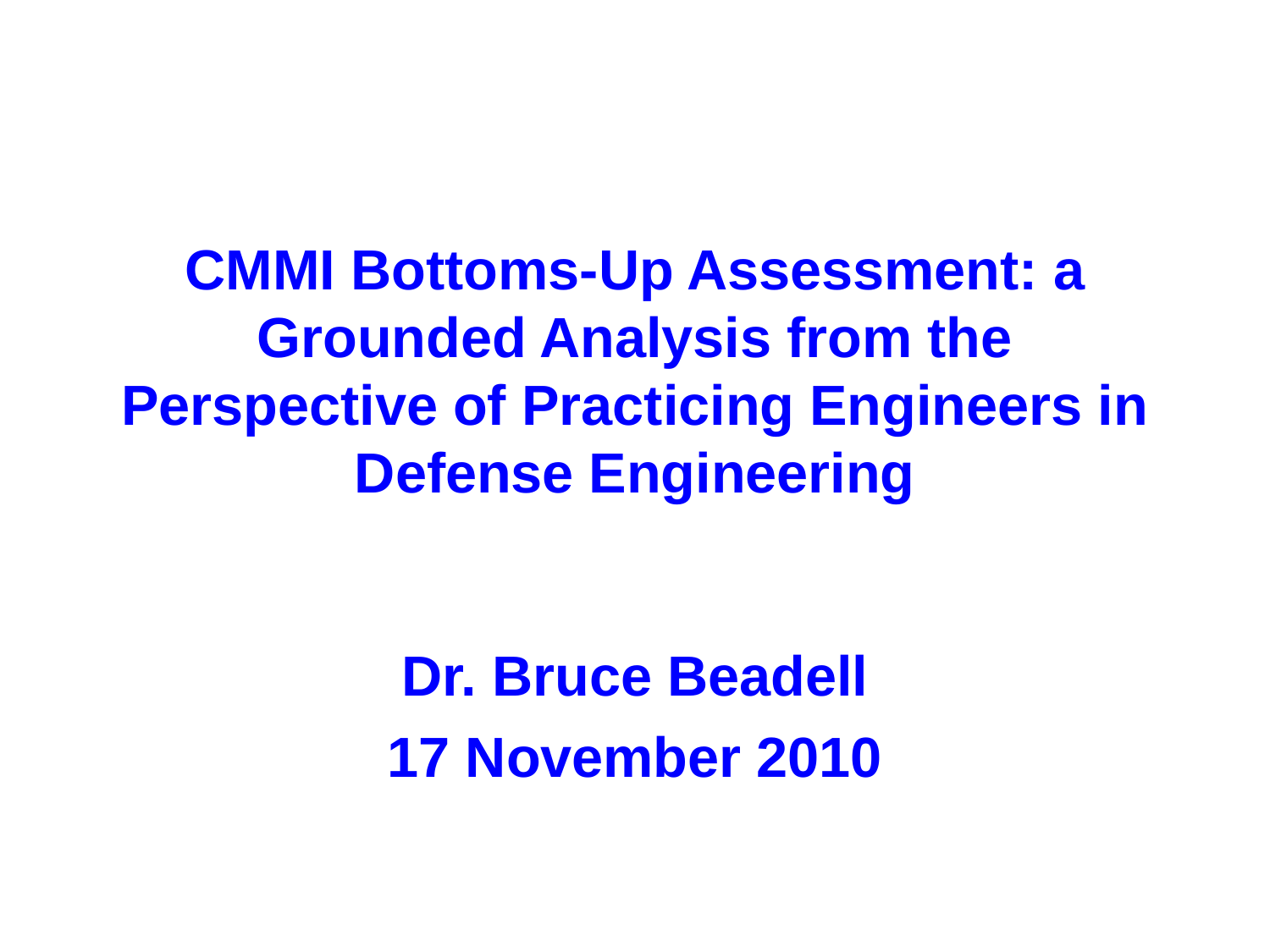**CMMI Bottoms-Up Assessment: a Grounded Analysis from the Perspective of Practicing Engineers in Defense Engineering**

> **Dr. Bruce Beadell 17 November 2010**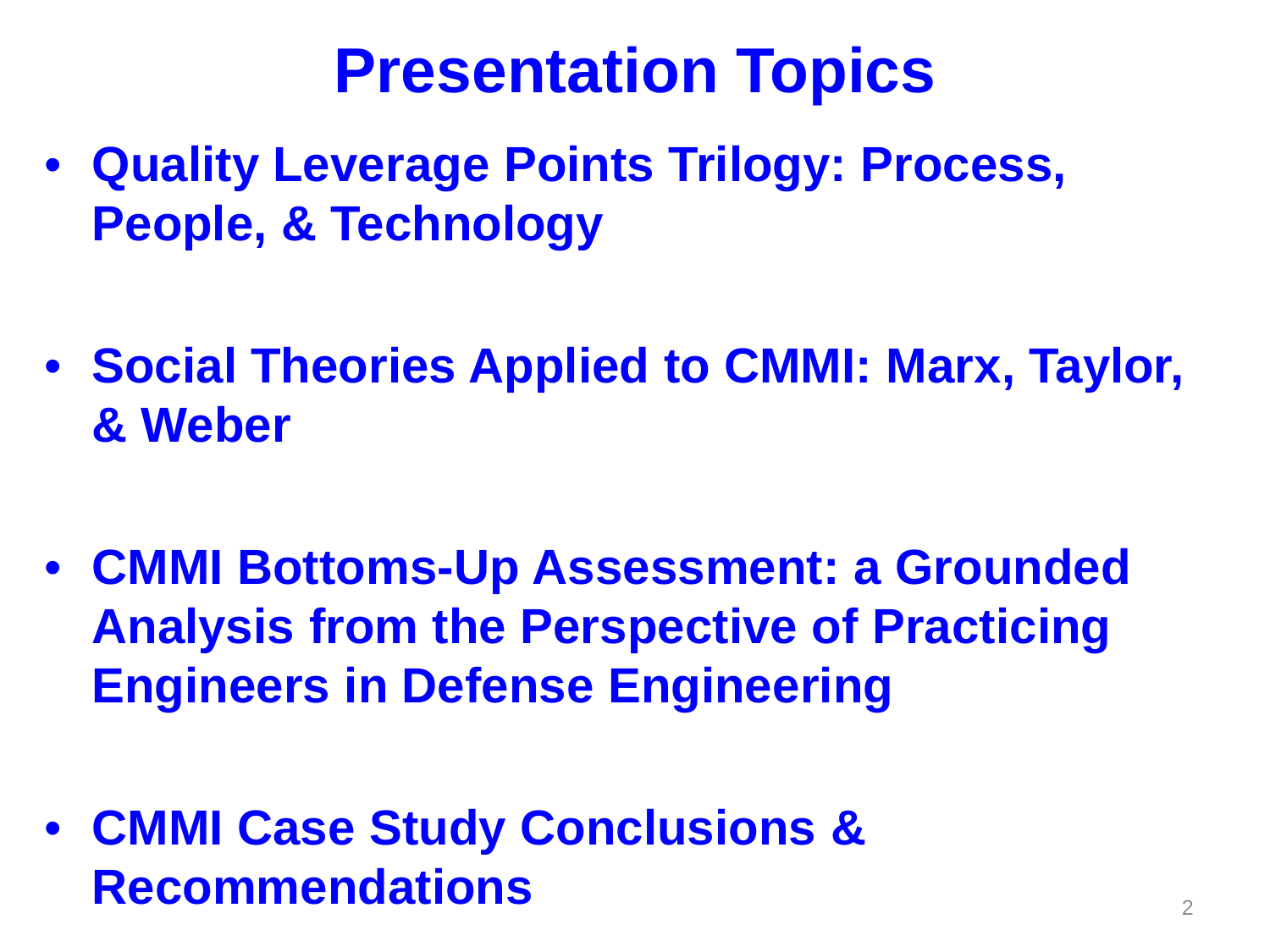### **Presentation Topics**

- **Quality Leverage Points Trilogy: Process, People, & Technology**
- **Social Theories Applied to CMMI: Marx, Taylor, & Weber**
- **CMMI Bottoms-Up Assessment: a Grounded Analysis from the Perspective of Practicing Engineers in Defense Engineering**
- **CMMI Case Study Conclusions & Recommendations** <sup>2</sup>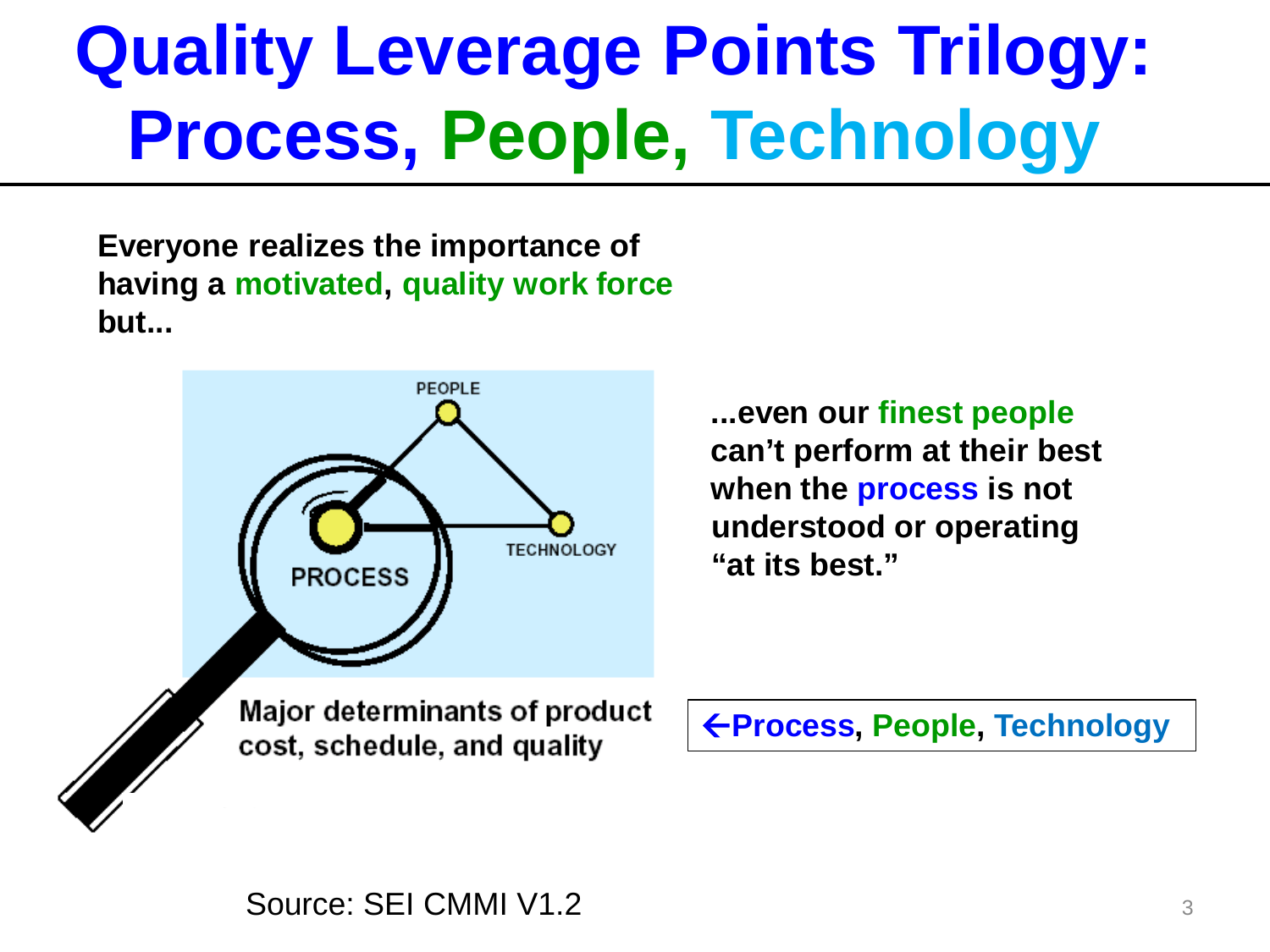# **Quality Leverage Points Trilogy: Process, People, Technology**

**Everyone realizes the importance of having a motivated, quality work force but...**



**...even our finest people can't perform at their best when the process is not understood or operating "at its best."**

**Process, People, Technology**

Source: SEI CMMI V1.2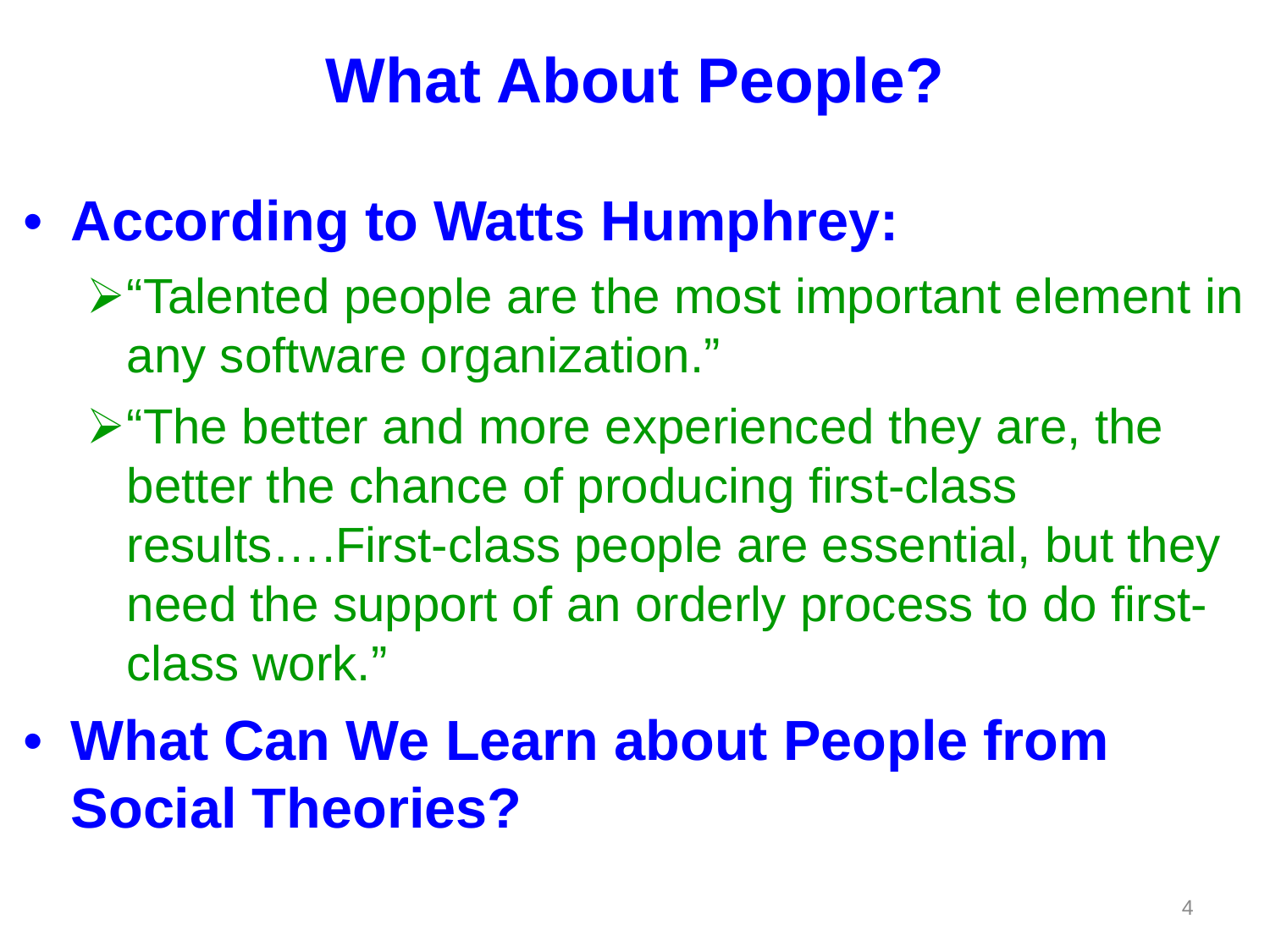### **What About People?**

#### • **According to Watts Humphrey:**

- "Talented people are the most important element in any software organization."
- $\triangleright$  "The better and more experienced they are, the better the chance of producing first-class results….First-class people are essential, but they need the support of an orderly process to do firstclass work."
- **What Can We Learn about People from Social Theories?**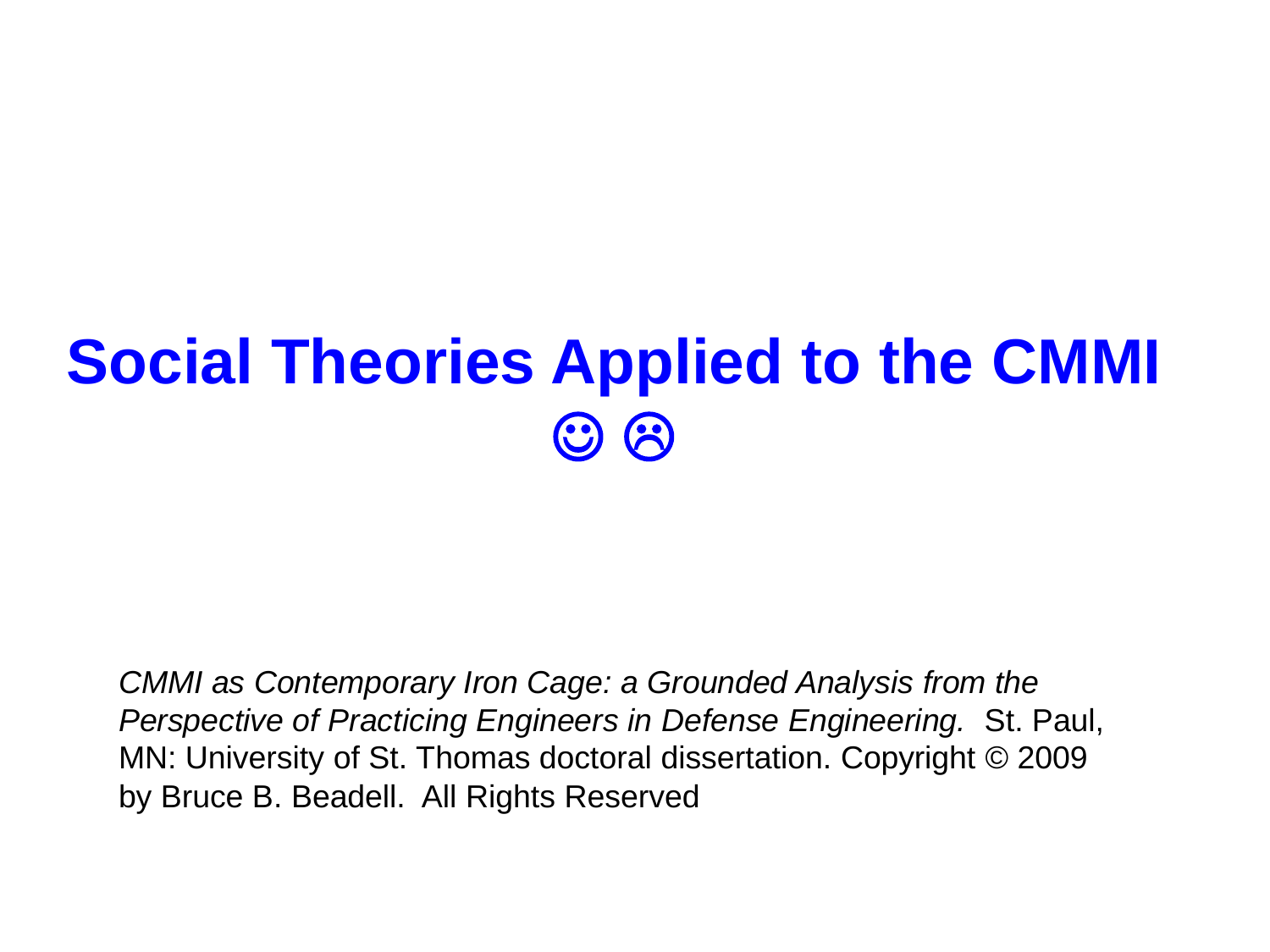#### **Social Theories Applied to the CMMI**  $\odot$   $\odot$

*CMMI as Contemporary Iron Cage: a Grounded Analysis from the Perspective of Practicing Engineers in Defense Engineering.* St. Paul, MN: University of St. Thomas doctoral dissertation. Copyright © 2009 by Bruce B. Beadell. All Rights Reserved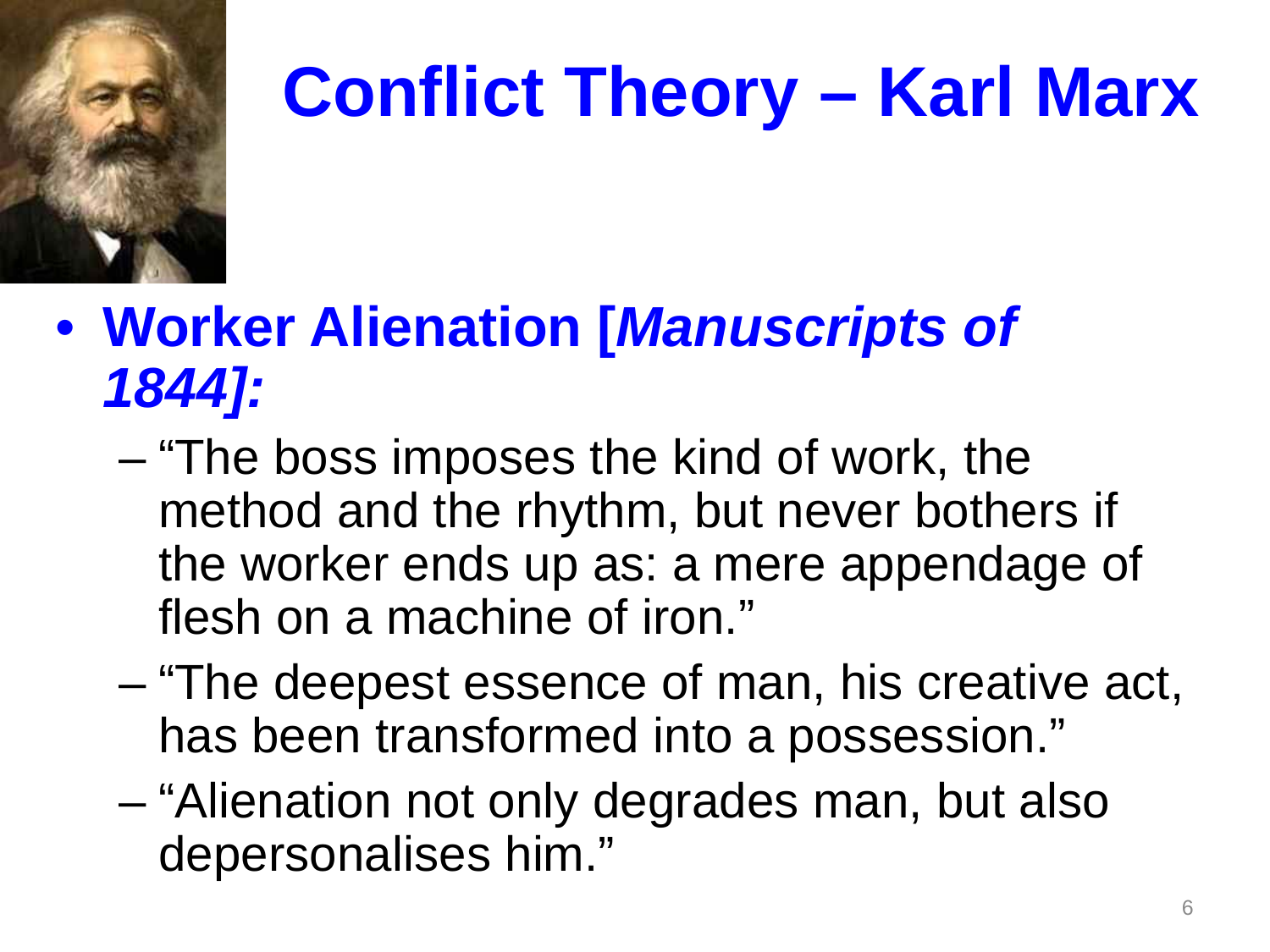

# **Conflict Theory – Karl Marx**

#### • **Worker Alienation [***Manuscripts of 1844]:*

- "The boss imposes the kind of work, the method and the rhythm, but never bothers if the worker ends up as: a mere appendage of flesh on a machine of iron."
- "The deepest essence of man, his creative act, has been transformed into a possession."
- "Alienation not only degrades man, but also depersonalises him."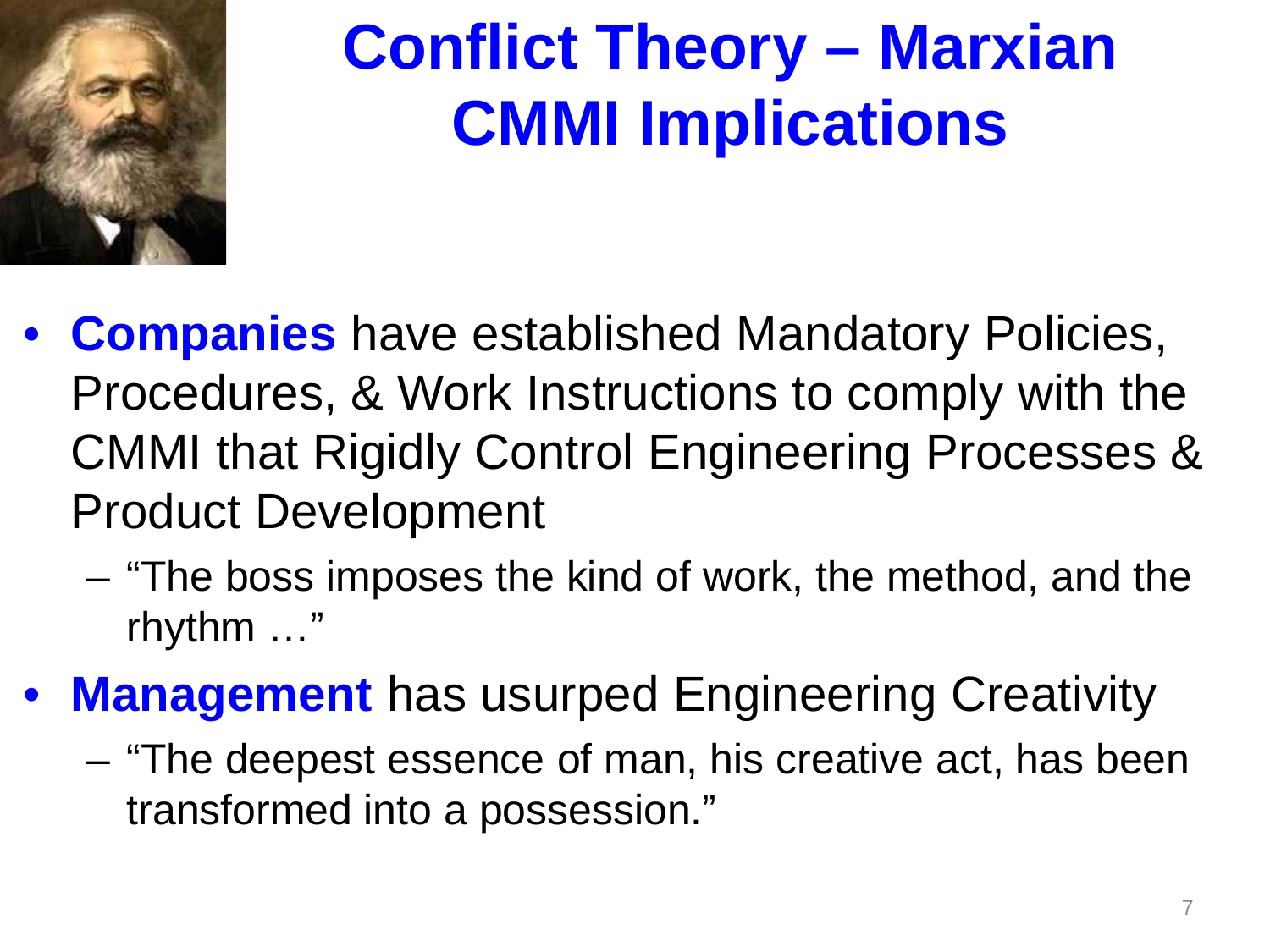

# **Conflict Theory – Marxian CMMI Implications**

- **Companies** have established Mandatory Policies, Procedures, & Work Instructions to comply with the CMMI that Rigidly Control Engineering Processes & Product Development
	- "The boss imposes the kind of work, the method, and the rhythm …"
- **Management** has usurped Engineering Creativity
	- "The deepest essence of man, his creative act, has been transformed into a possession."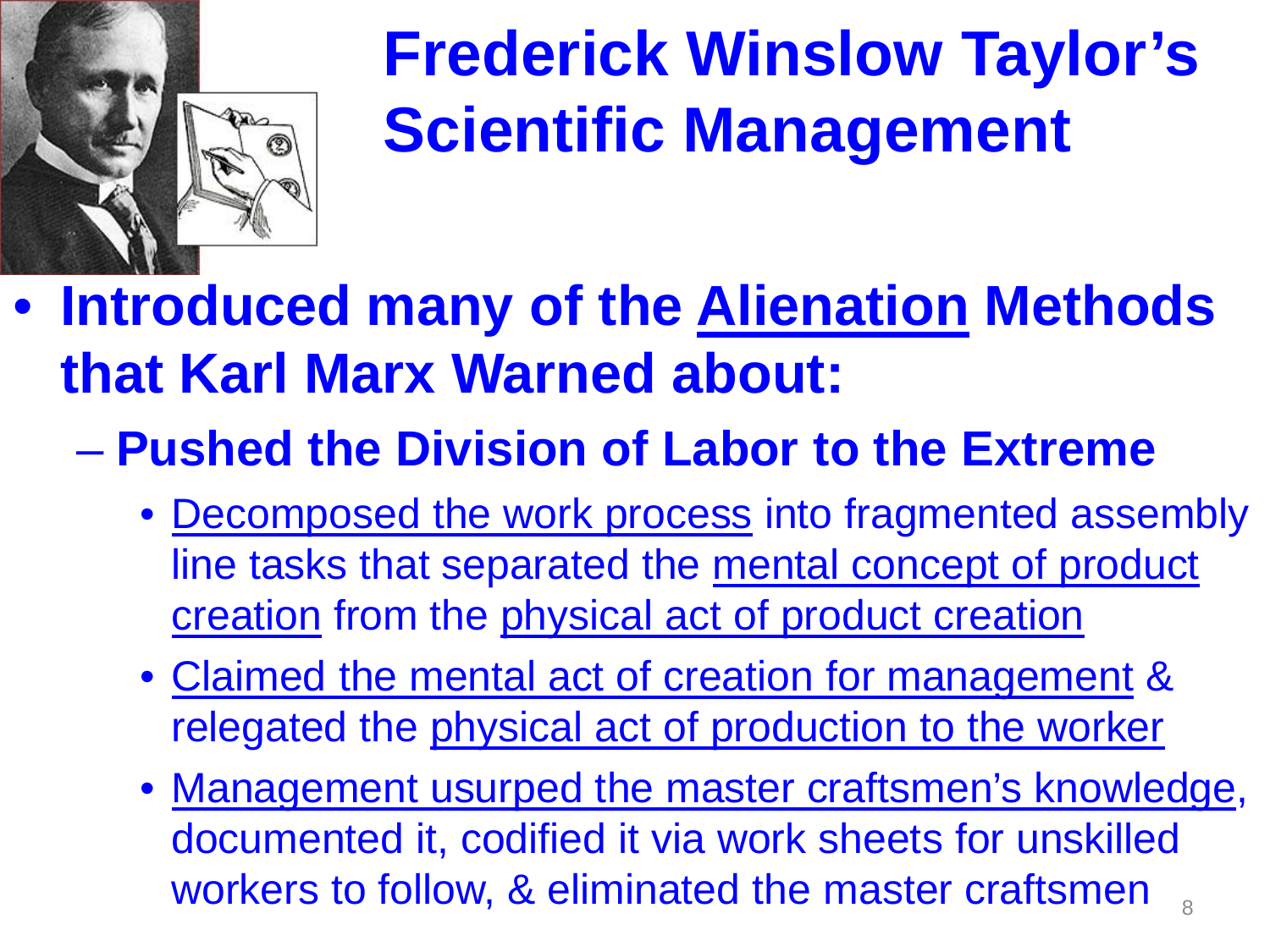

# **Frederick Winslow Taylor's Scientific Management**

- **Introduced many of the Alienation Methods that Karl Marx Warned about:**
	- **Pushed the Division of Labor to the Extreme**
		- Decomposed the work process into fragmented assembly line tasks that separated the mental concept of product creation from the physical act of product creation
		- Claimed the mental act of creation for management & relegated the physical act of production to the worker
		- 8 • Management usurped the master craftsmen's knowledge, documented it, codified it via work sheets for unskilled workers to follow, & eliminated the master craftsmen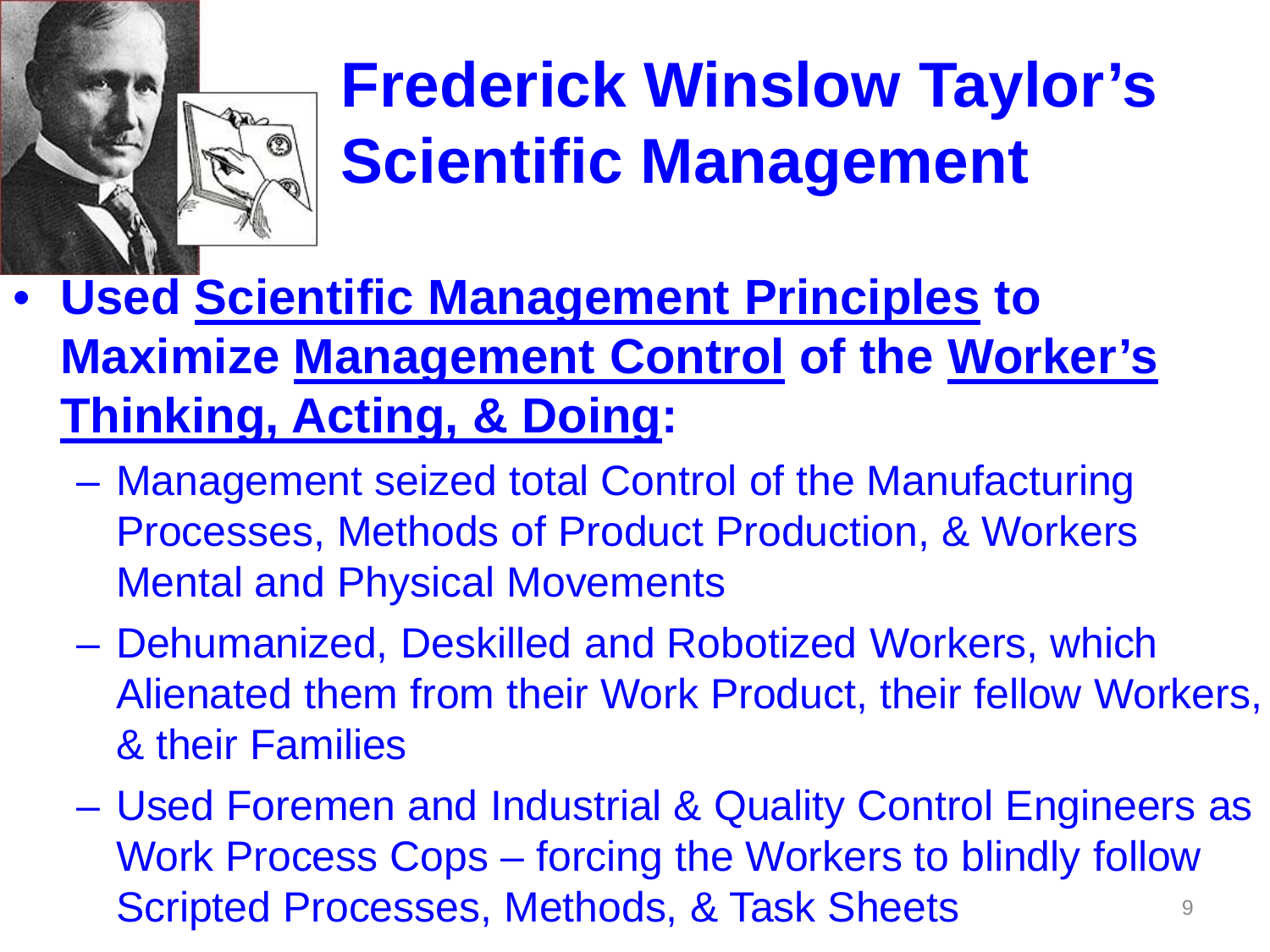

# **Frederick Winslow Taylor's Scientific Management**

- **Used Scientific Management Principles to Maximize Management Control of the Worker's Thinking, Acting, & Doing:**
	- Management seized total Control of the Manufacturing Processes, Methods of Product Production, & Workers Mental and Physical Movements
	- Dehumanized, Deskilled and Robotized Workers, which Alienated them from their Work Product, their fellow Workers, & their Families
	- 9 – Used Foremen and Industrial & Quality Control Engineers as Work Process Cops – forcing the Workers to blindly follow Scripted Processes, Methods, & Task Sheets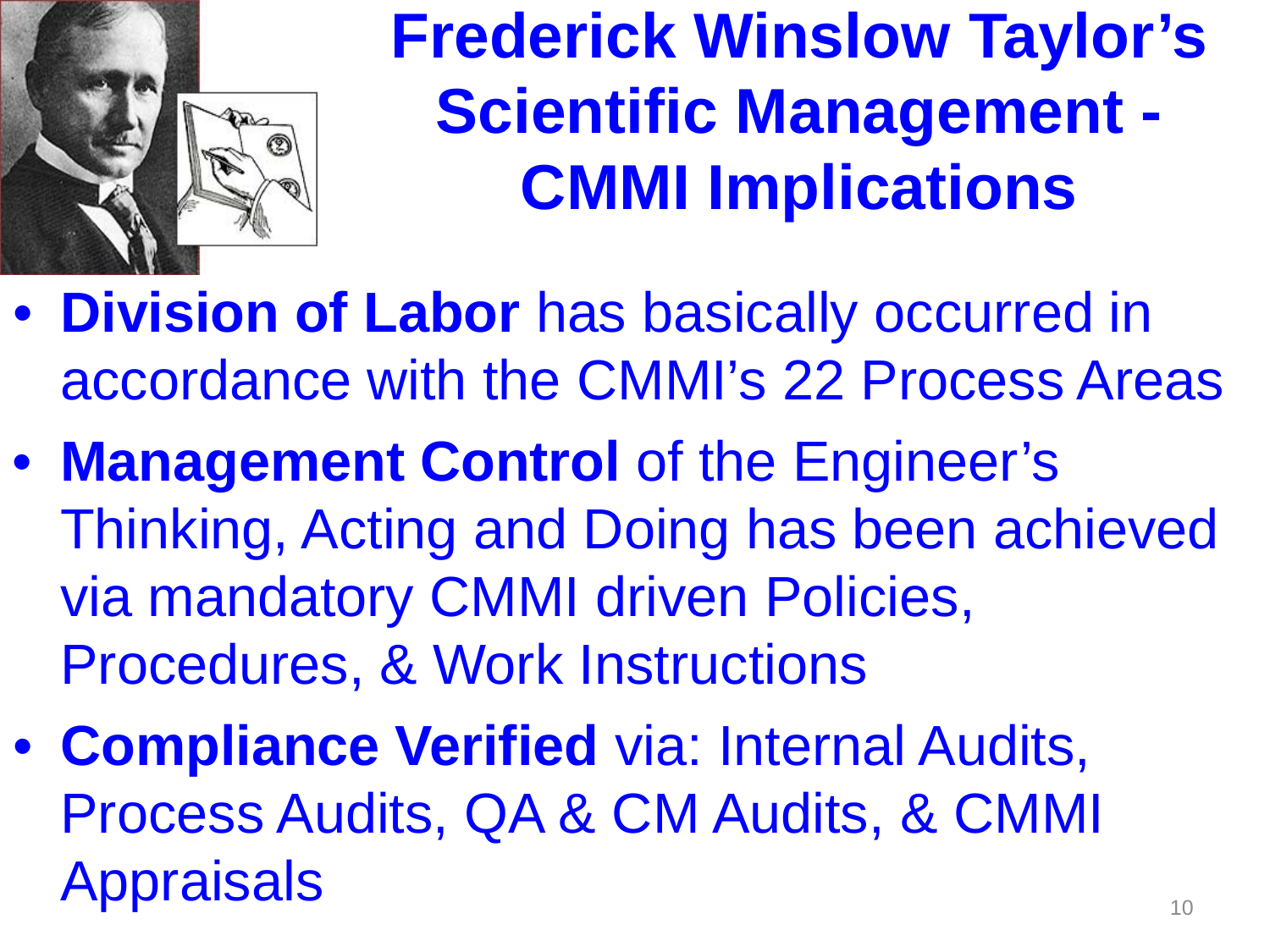

**Frederick Winslow Taylor's Scientific Management - CMMI Implications**

- **Division of Labor** has basically occurred in accordance with the CMMI's 22 Process Areas
- **Management Control** of the Engineer's Thinking, Acting and Doing has been achieved via mandatory CMMI driven Policies, Procedures, & Work Instructions
- **Compliance Verified** via: Internal Audits, Process Audits, QA & CM Audits, & CMMI **Appraisals**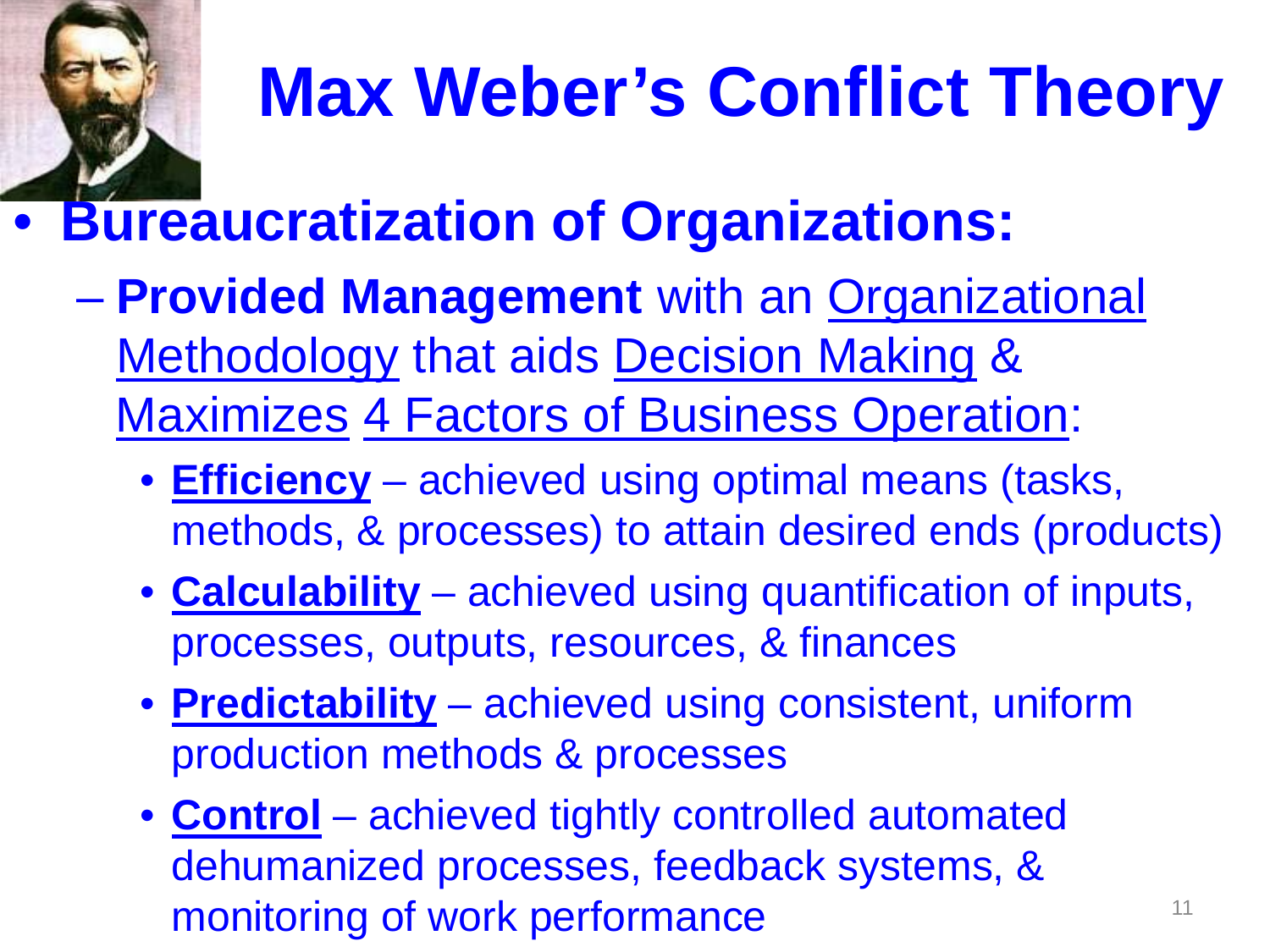

# **Max Weber's Conflict Theory**

#### • **[Burea](http://argoul.blog.lemonde.fr/photos/uncategorized/weber.jpg)ucratization of Organizations:**

- **Provided Management** with an Organizational Methodology that aids Decision Making & Maximizes 4 Factors of Business Operation:
	- **Efficiency** achieved using optimal means (tasks, methods, & processes) to attain desired ends (products)
	- **Calculability** achieved using quantification of inputs, processes, outputs, resources, & finances
	- **Predictability** achieved using consistent, uniform production methods & processes
	- **Control** achieved tightly controlled automated dehumanized processes, feedback systems, & monitoring of work performance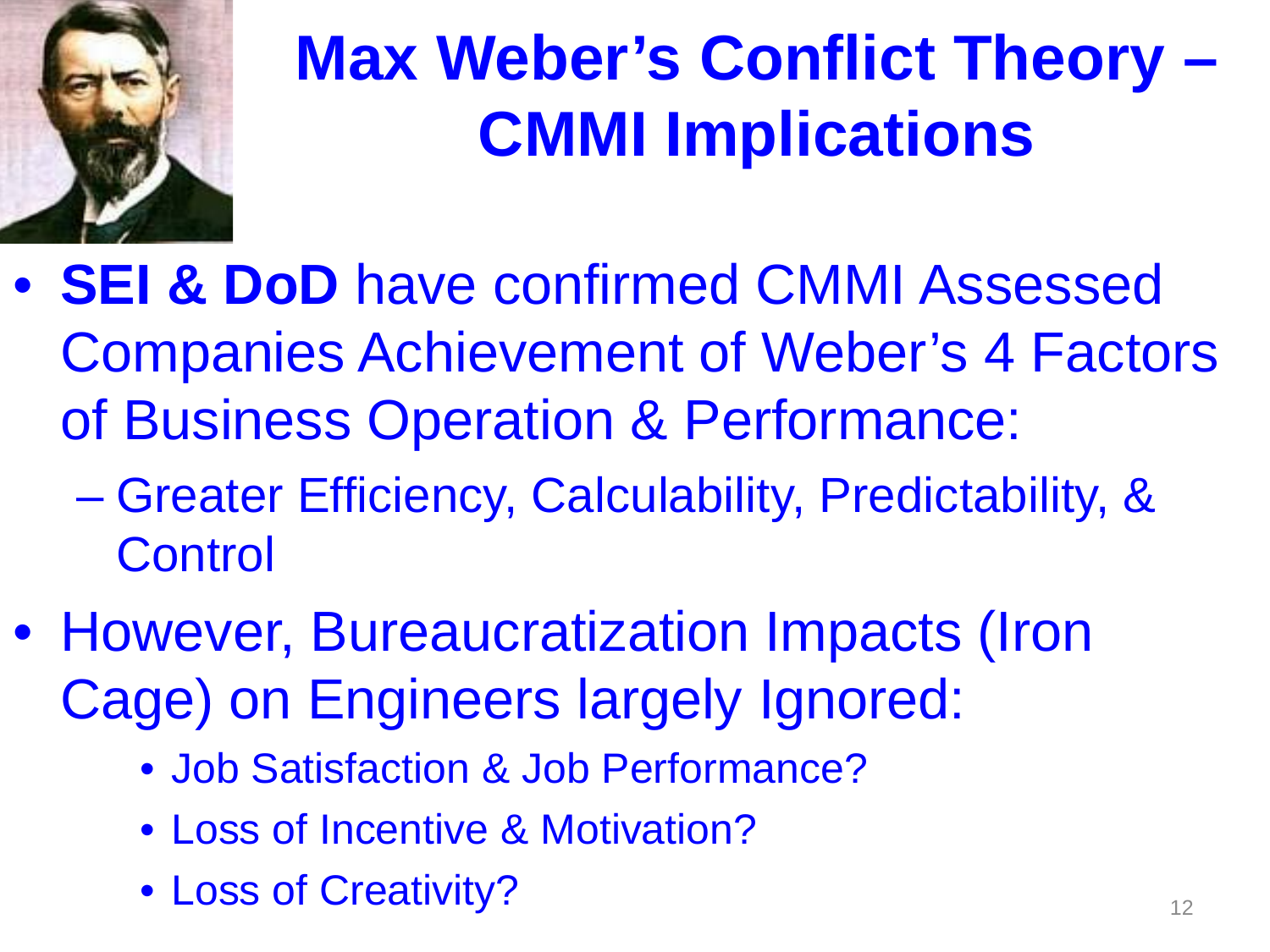

# **Max Weber's Conflict Theory – CMMI Implications**

- **SEI & DoD** have confirmed CMMI Assessed Companies Achievement of Weber's 4 Factors of Business Operation & Performance:
	- Greater Efficiency, Calculability, Predictability, & **Control**
- However, Bureaucratization Impacts (Iron Cage) on Engineers largely Ignored:
	- Job Satisfaction & Job Performance?
	- Loss of Incentive & Motivation?
	- Loss of Creativity?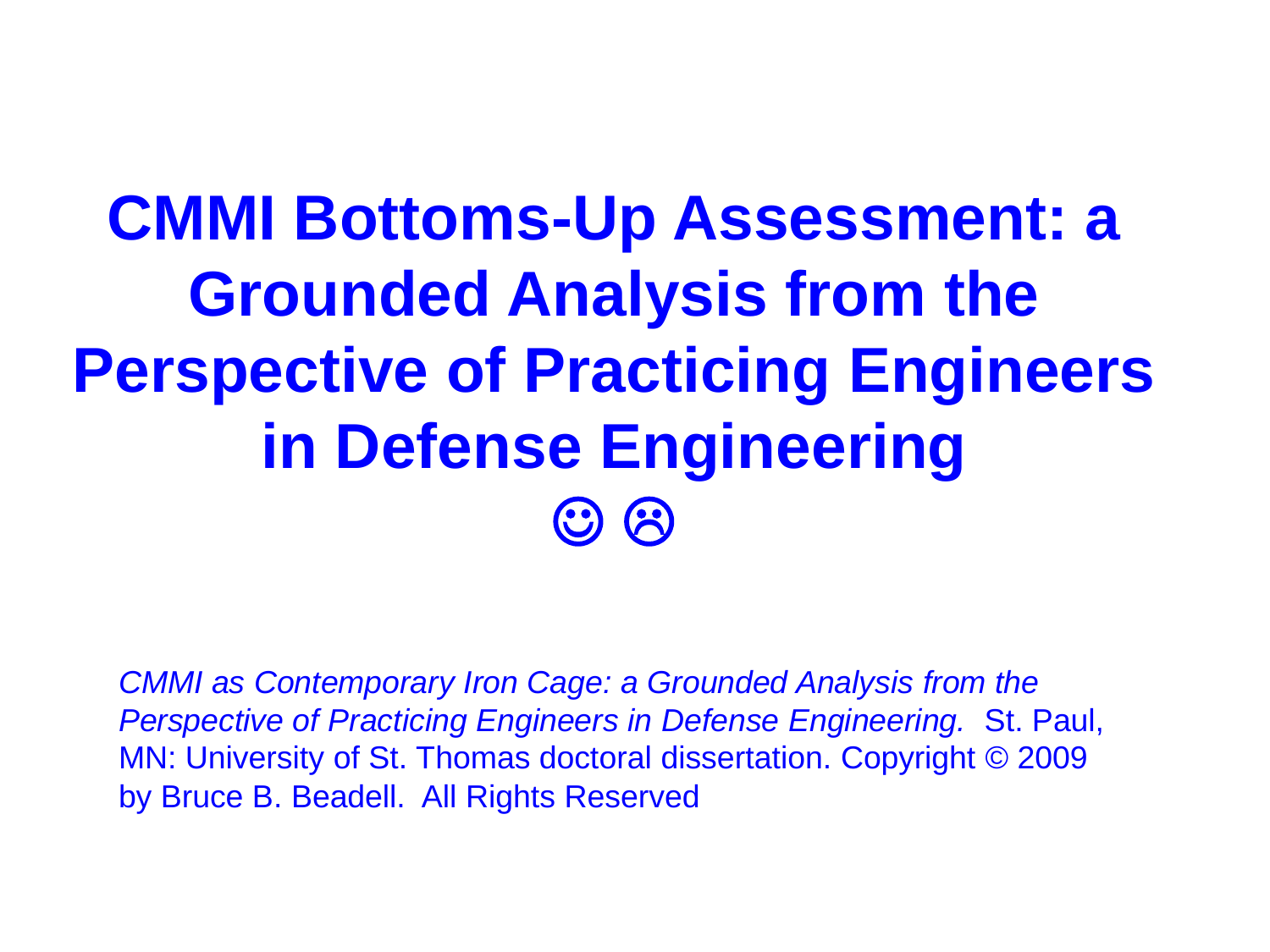### **CMMI Bottoms-Up Assessment: a Grounded Analysis from the Perspective of Practicing Engineers in Defense Engineering**  $\odot$   $\odot$

*CMMI as Contemporary Iron Cage: a Grounded Analysis from the Perspective of Practicing Engineers in Defense Engineering.* St. Paul, MN: University of St. Thomas doctoral dissertation. Copyright © 2009 by Bruce B. Beadell. All Rights Reserved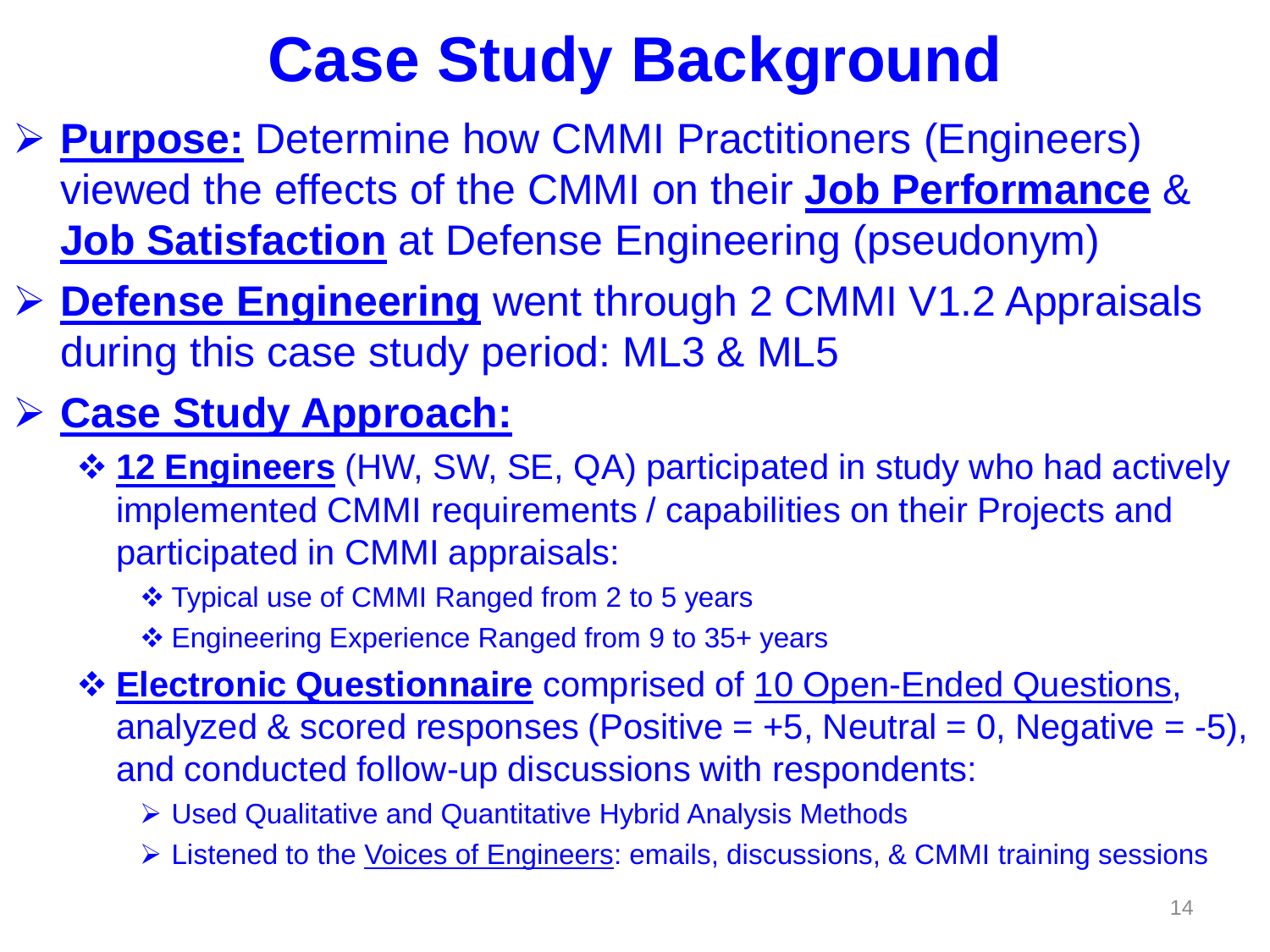# **Case Study Background**

- **Purpose:** Determine how CMMI Practitioners (Engineers) viewed the effects of the CMMI on their **Job Performance** & **Job Satisfaction** at Defense Engineering (pseudonym)
- **Defense Engineering** went through 2 CMMI V1.2 Appraisals during this case study period: ML3 & ML5

#### **Case Study Approach:**

- **12 Engineers** (HW, SW, SE, QA) participated in study who had actively implemented CMMI requirements / capabilities on their Projects and participated in CMMI appraisals:
	- Typical use of CMMI Ranged from 2 to 5 years
	- Engineering Experience Ranged from 9 to 35+ years

 **Electronic Questionnaire** comprised of 10 Open-Ended Questions, analyzed & scored responses (Positive  $= +5$ , Neutral  $= 0$ , Negative  $= -5$ ), and conducted follow-up discussions with respondents:

- Used Qualitative and Quantitative Hybrid Analysis Methods
- Listened to the Voices of Engineers: emails, discussions, & CMMI training sessions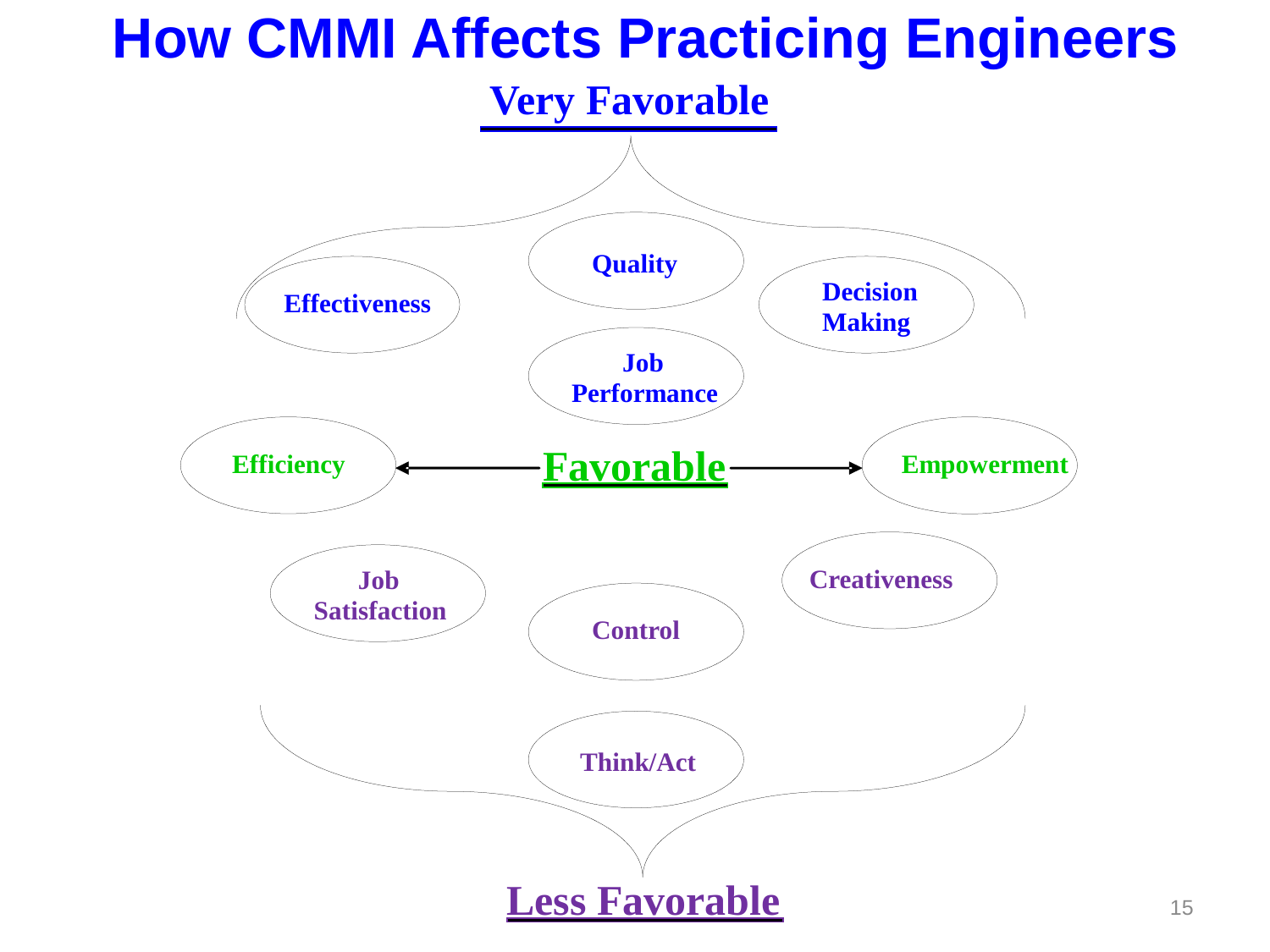#### **How CMMI Affects Practicing Engineers**

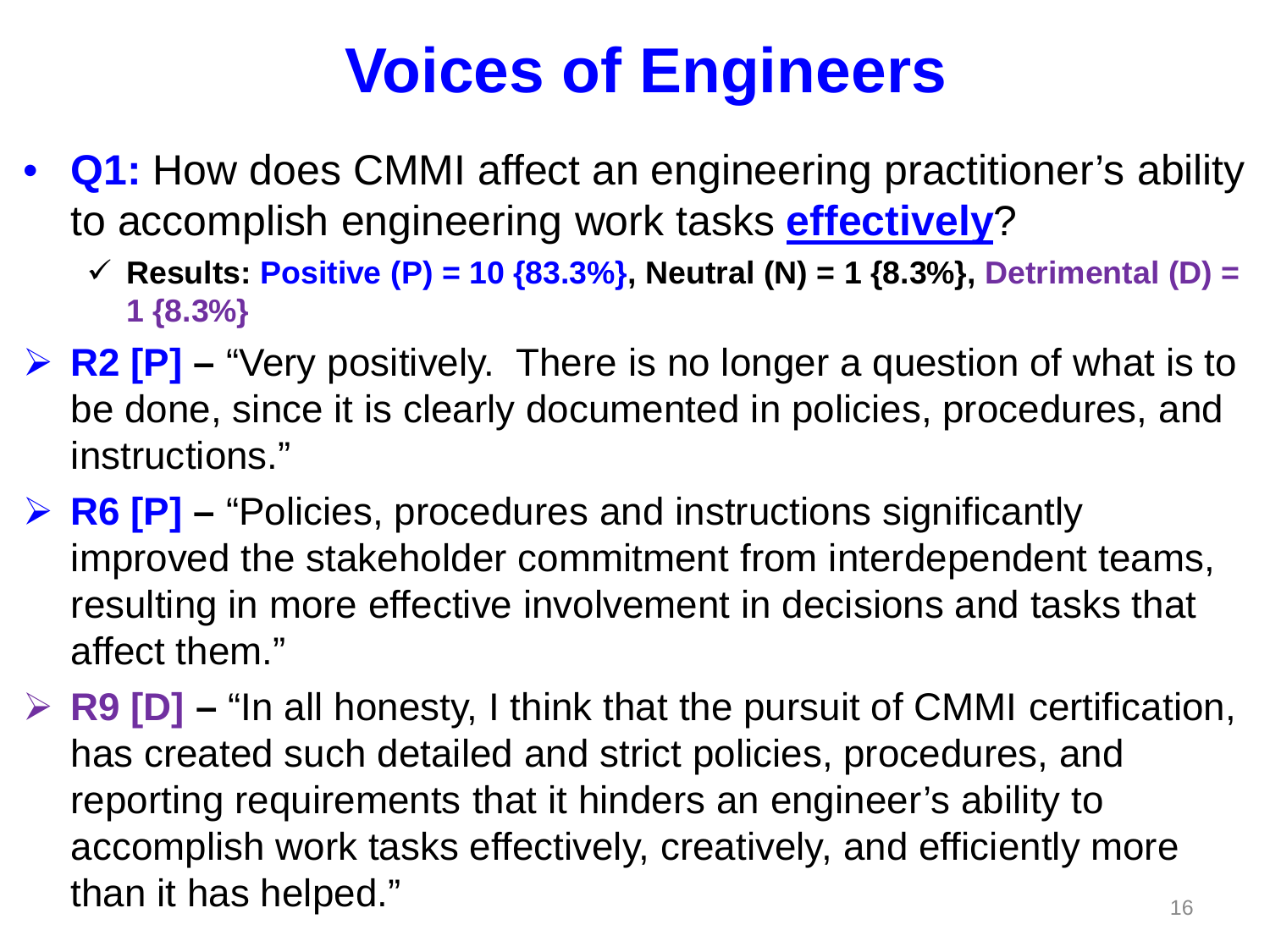- **Q1:** How does CMMI affect an engineering practitioner's ability to accomplish engineering work tasks **effectively**?
	- **Results: Positive (P) = 10 {83.3%}, Neutral (N) = 1 {8.3%}, Detrimental (D) = 1 {8.3%}**
- **EX P2 [P] "Very positively. There is no longer a question of what is to** be done, since it is clearly documented in policies, procedures, and instructions."
- **EXECTE:** FRICTER FINICIPS FINICIPS And instructions significantly FINICIPS FINICIPS FINICIPS FINICIPS FINICIPS FINICIPS FINICIPS FINICIPS FINICIPS FINICIPS FINICIPS FINICIPS FINICIPS FINICIPS FINICIPS FINICIPS FINICIPS F improved the stakeholder commitment from interdependent teams, resulting in more effective involvement in decisions and tasks that affect them."
- **EP R9 [D] "In all honesty, I think that the pursuit of CMMI certification,** has created such detailed and strict policies, procedures, and reporting requirements that it hinders an engineer's ability to accomplish work tasks effectively, creatively, and efficiently more than it has helped."  $16$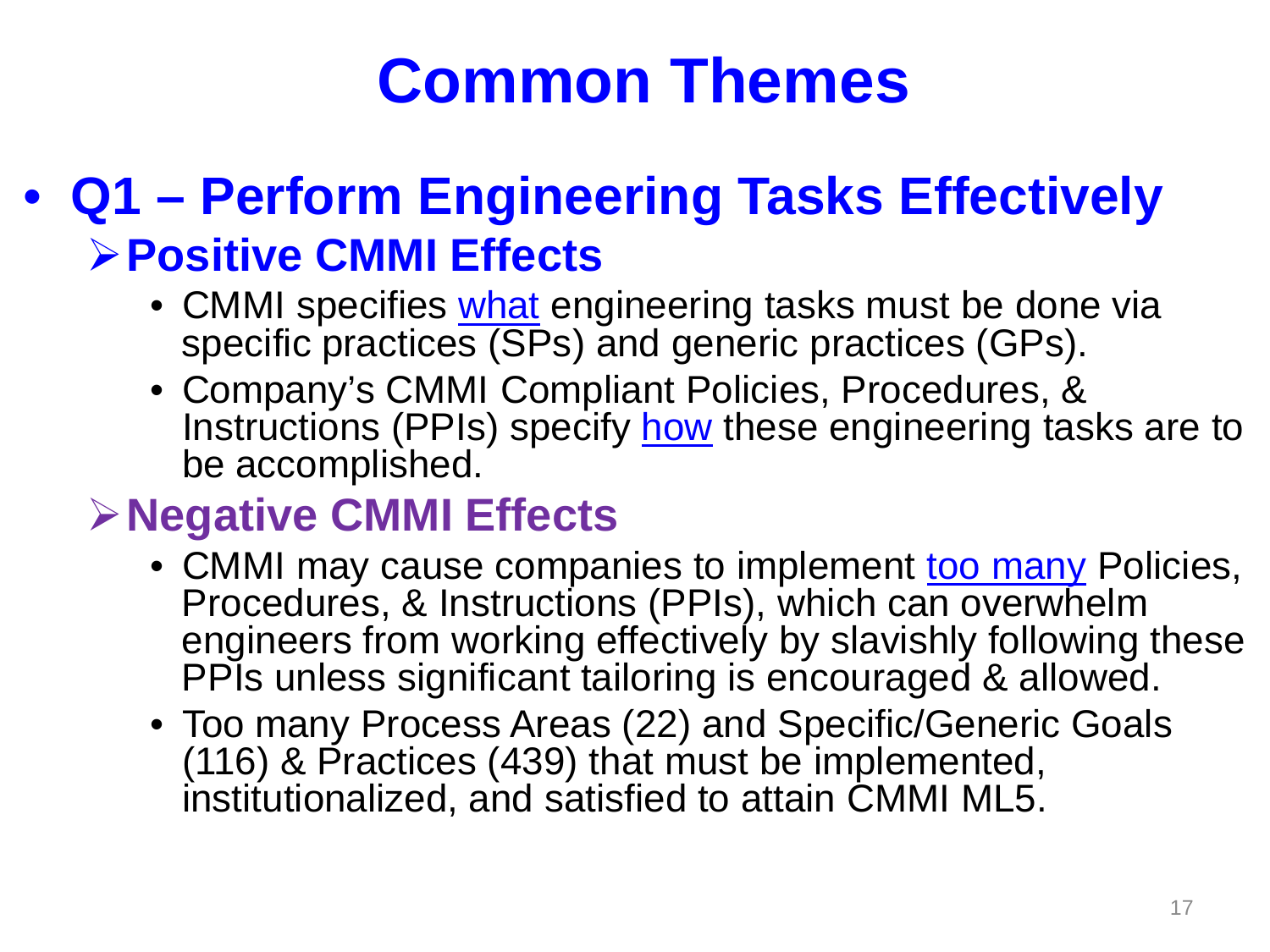#### • **Q1 – Perform Engineering Tasks Effectively Positive CMMI Effects**

- CMMI specifies what engineering tasks must be done via specific practices (SPs) and generic practices (GPs).
- Company's CMMI Compliant Policies, Procedures, & Instructions (PPIs) specify how these engineering tasks are to be accomplished.

#### **Negative CMMI Effects**

- CMMI may cause companies to implement too many Policies, Procedures, & Instructions (PPIs), which can overwhelm engineers from working effectively by slavishly following these PPIs unless significant tailoring is encouraged & allowed.
- Too many Process Areas (22) and Specific/Generic Goals (116) & Practices (439) that must be implemented, institutionalized, and satisfied to attain CMMI ML5.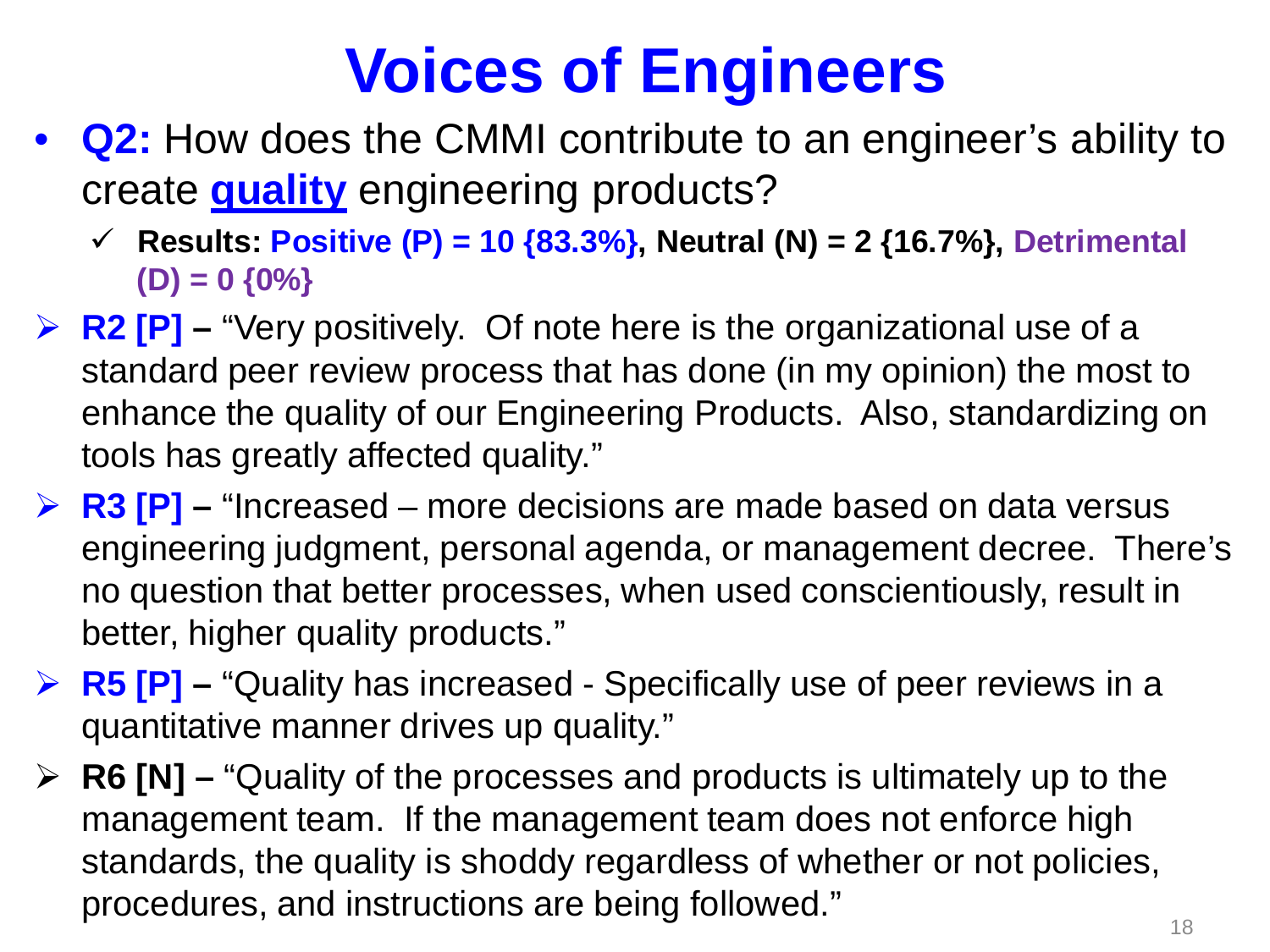- **Q2:** How does the CMMI contribute to an engineer's ability to create **quality** engineering products?
	- **Results: Positive (P) = 10 {83.3%}, Neutral (N) = 2 {16.7%}, Detrimental (D) = 0 {0%}**
- **EX P2 [P] "Very positively. Of note here is the organizational use of a** standard peer review process that has done (in my opinion) the most to enhance the quality of our Engineering Products. Also, standardizing on tools has greatly affected quality."
- **R3 [P] –** "Increased more decisions are made based on data versus engineering judgment, personal agenda, or management decree. There's no question that better processes, when used conscientiously, result in better, higher quality products."
- **EXECTE:**  $\triangleright$  **R5 [P]** − "Quality has increased Specifically use of peer reviews in a quantitative manner drives up quality."
- **R6 [N] –** "Quality of the processes and products is ultimately up to the management team. If the management team does not enforce high standards, the quality is shoddy regardless of whether or not policies, procedures, and instructions are being followed." The model of the state of the state of the state of the state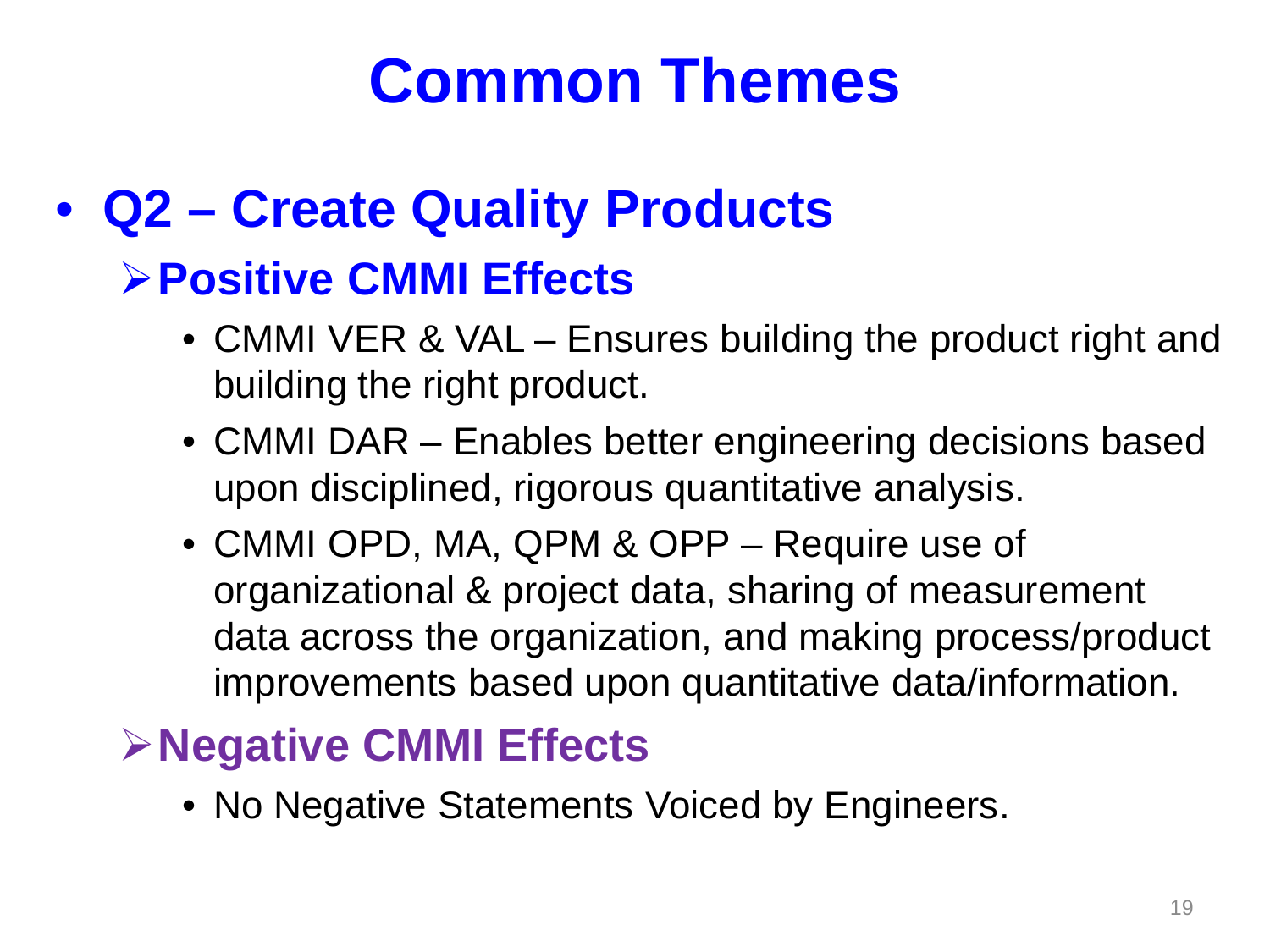#### • **Q2 – Create Quality Products**

#### **Positive CMMI Effects**

- CMMI VER & VAL Ensures building the product right and building the right product.
- CMMI DAR Enables better engineering decisions based upon disciplined, rigorous quantitative analysis.
- CMMI OPD, MA, QPM & OPP Require use of organizational & project data, sharing of measurement data across the organization, and making process/product improvements based upon quantitative data/information.

#### **Negative CMMI Effects**

• No Negative Statements Voiced by Engineers.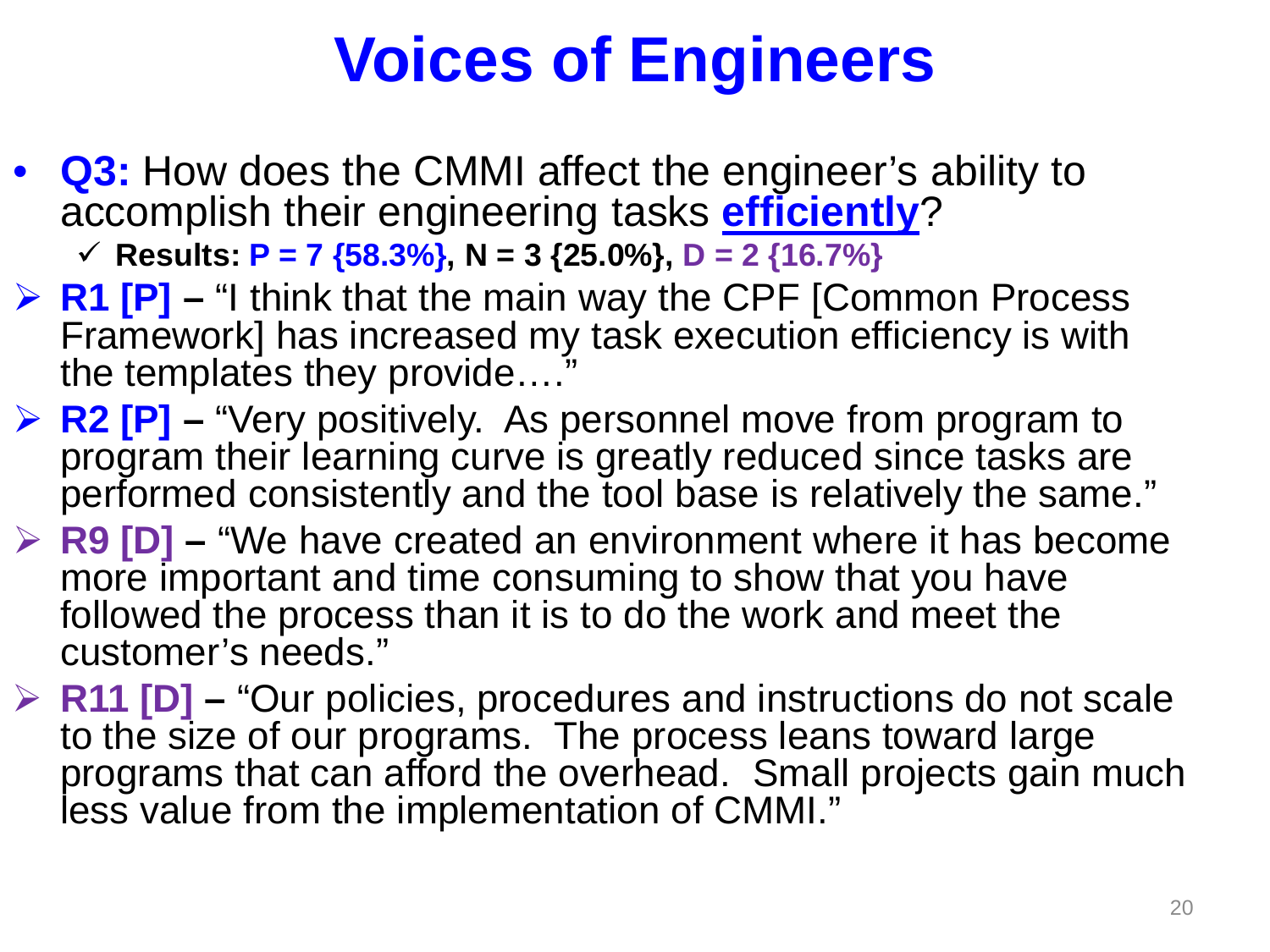• **Q3:** How does the CMMI affect the engineer's ability to accomplish their engineering tasks **efficiently**?

 $\checkmark$  Results: **P** = 7 {58.3%}, N = 3 {25.0%}, D = 2 {16.7%}

- **R1 [P] –** "I think that the main way the CPF [Common Process Framework] has increased my task execution efficiency is with the templates they provide....
- **EX PEPECT P** − "Very positively. As personnel move from program to program their learning curve is greatly reduced since tasks are performed consistently and the tool base is relatively the same."
- **EP R9 [D] "We have created an environment where it has become** more important and time consuming to show that you have followed the process than it is to do the work and meet the customer's needs."
- **EXECTE:** R11 [D] "Our policies, procedures and instructions do not scale to the size of our programs. The process leans toward large programs that can afford the overhead. Small projects gain much less value from the implementation of CMMI."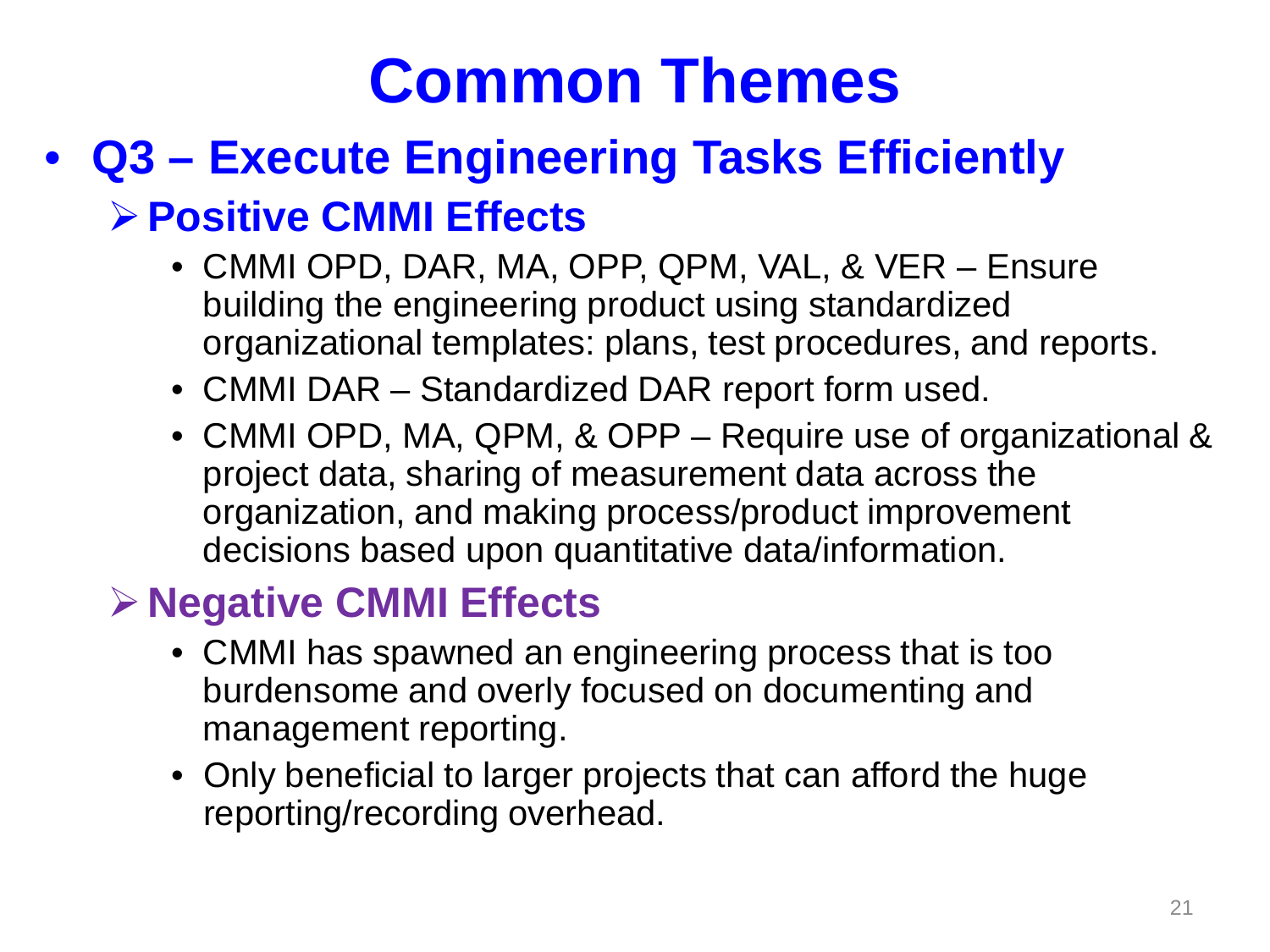#### • **Q3 – Execute Engineering Tasks Efficiently**

#### **Positive CMMI Effects**

- CMMI OPD, DAR, MA, OPP, QPM, VAL, & VER Ensure building the engineering product using standardized organizational templates: plans, test procedures, and reports.
- CMMI DAR Standardized DAR report form used.
- CMMI OPD, MA, QPM, & OPP Require use of organizational & project data, sharing of measurement data across the organization, and making process/product improvement decisions based upon quantitative data/information.

#### **Negative CMMI Effects**

- CMMI has spawned an engineering process that is too burdensome and overly focused on documenting and management reporting.
- Only beneficial to larger projects that can afford the huge reporting/recording overhead.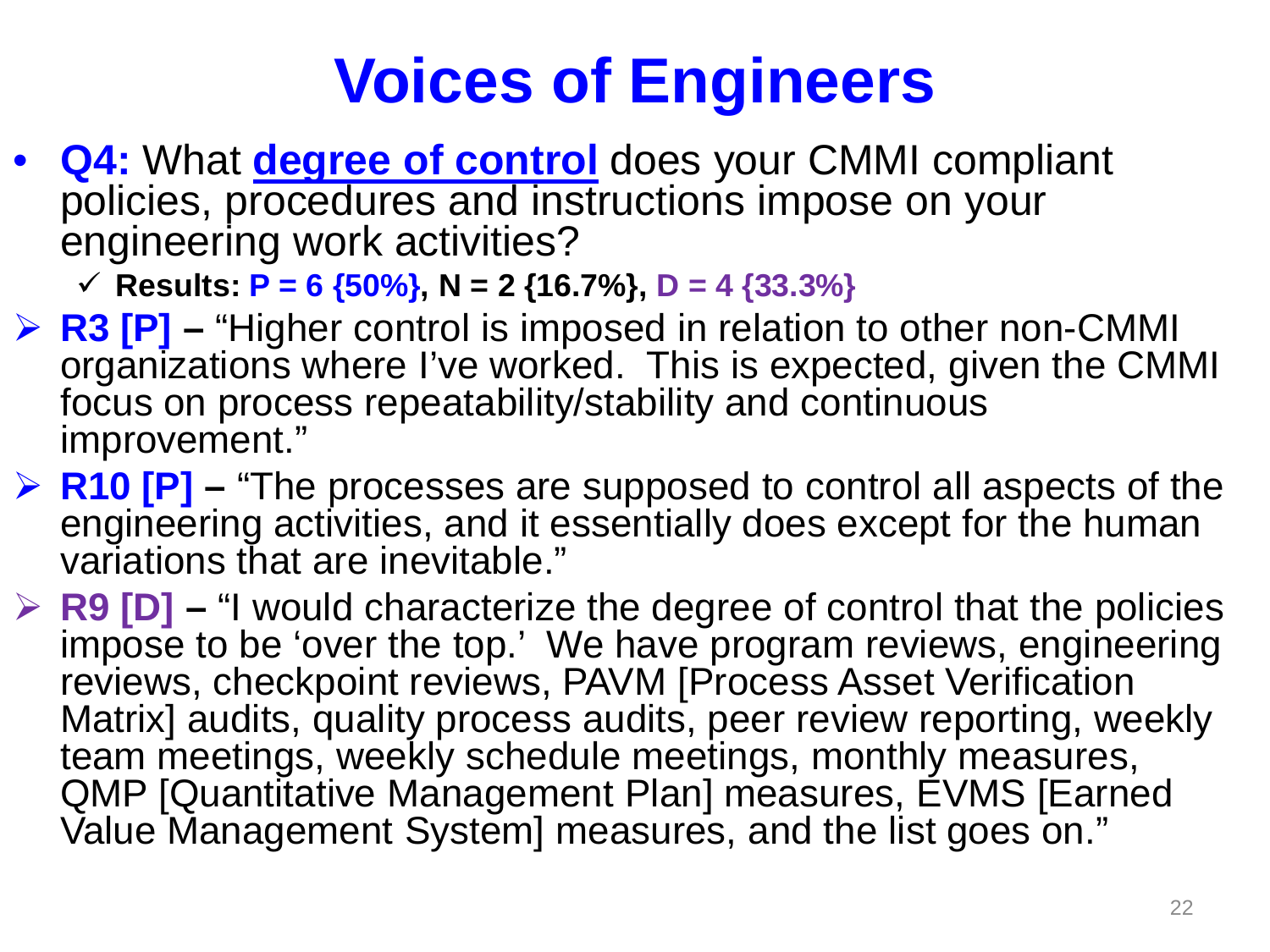• **Q4:** What **degree of control** does your CMMI compliant policies, procedures and instructions impose on your engineering work activities?

 $\checkmark$  Results: **P** = 6 {50%}, N = 2 {16.7%}, D = 4 {33.3%}

- **► R3 [P] –** "Higher control is imposed in relation to other non-CMMI organizations where I've worked. This is expected, given the CMMI focus on process repeatability/stability and continuous improvement."
- **EXECTE:** R10 [P] "The processes are supposed to control all aspects of the engineering activities, and it essentially does except for the human variations that are inevitable."
- **EP PIET –** "I would characterize the degree of control that the policies impose to be 'over the top.' We have program reviews, engineering reviews, checkpoint reviews, PAVM [Process Asset Verification Matrix] audits, quality process audits, peer review reporting, weekly team meetings, weekly schedule meetings, monthly measures, QMP [Quantitative Management Plan] measures, EVMS [Earned Value Management System] measures, and the list goes on."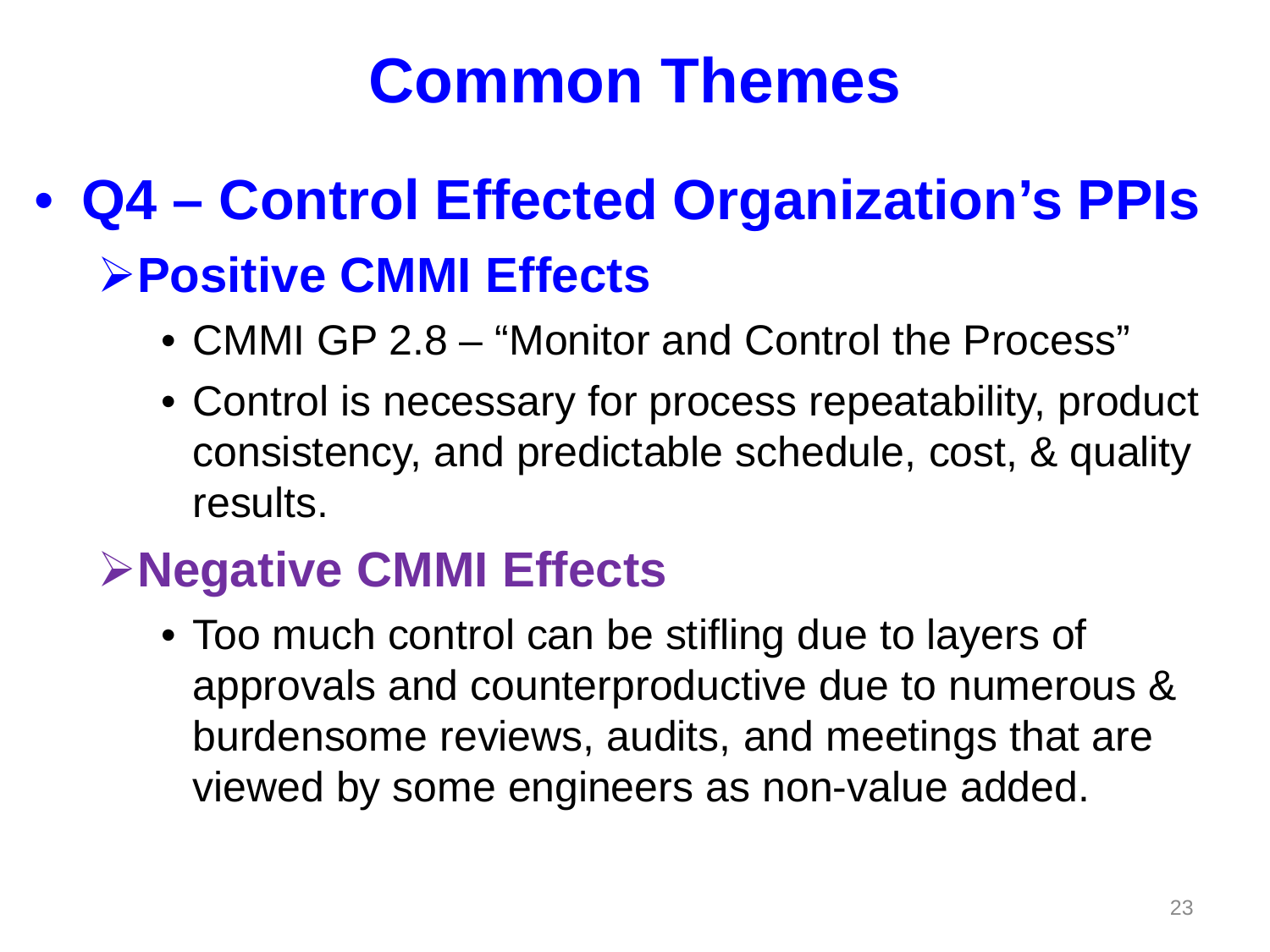#### • **Q4 – Control Effected Organization's PPIs Positive CMMI Effects**

- CMMI GP 2.8 "Monitor and Control the Process"
- Control is necessary for process repeatability, product consistency, and predictable schedule, cost, & quality results.

#### **Negative CMMI Effects**

• Too much control can be stifling due to layers of approvals and counterproductive due to numerous & burdensome reviews, audits, and meetings that are viewed by some engineers as non-value added.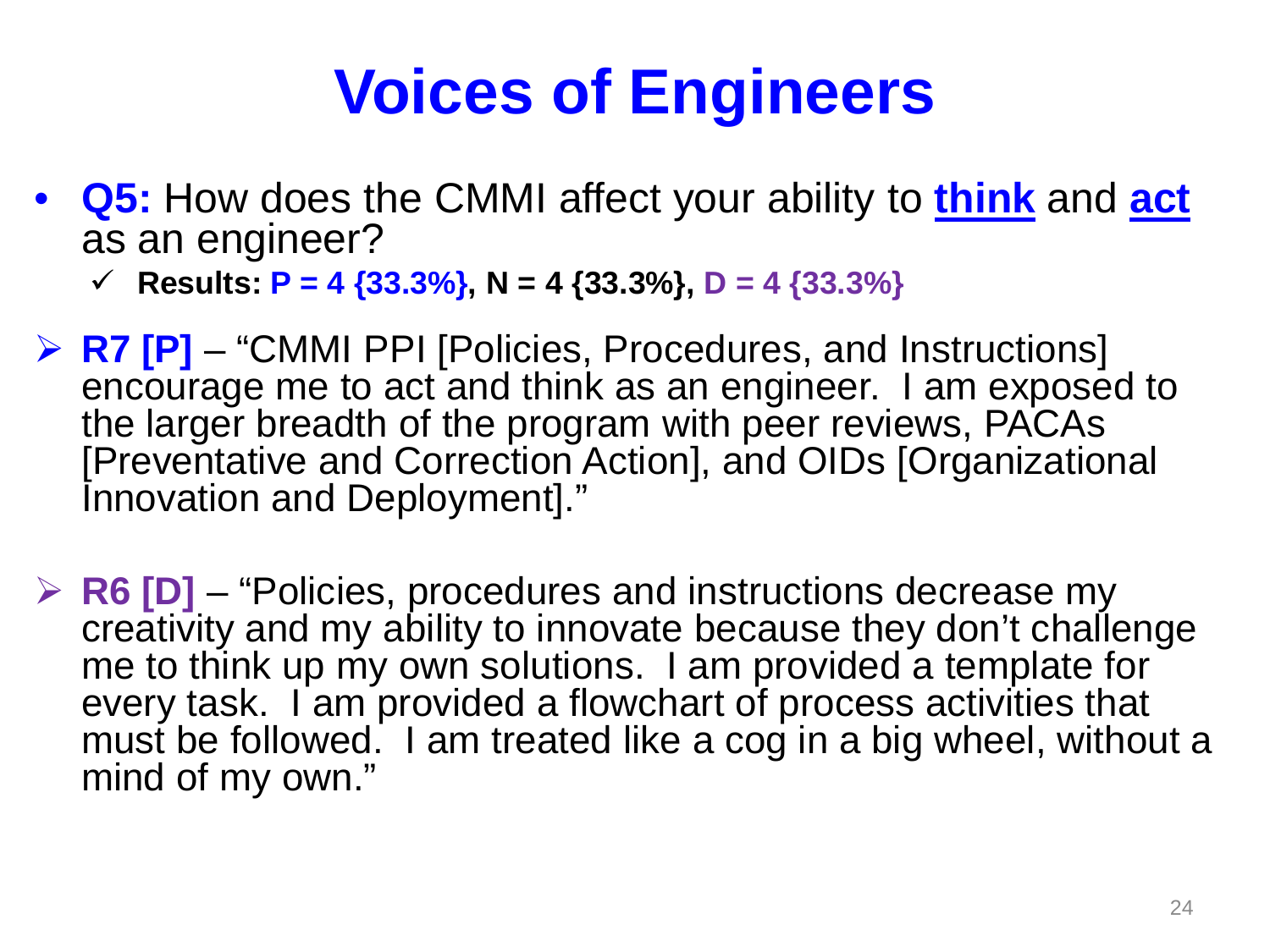• **Q5:** How does the CMMI affect your ability to **think** and **act** as an engineer?

**Fig. 7** Results:  $P = 4 {33.3\%}, N = 4 {33.3\%}, D = 4 {33.3\%}$ 

- **EX PET FIVELEXIAL PRI [Policies, Procedures, and Instructions]** encourage me to act and think as an engineer. I am exposed to the larger breadth of the program with peer reviews, PACAs [Preventative and Correction Action], and OIDs [Organizational Innovation and Deployment]."
- **EXECTE:** R6 [D] "Policies, procedures and instructions decrease my creativity and my ability to innovate because they don't challenge me to think up my own solutions. I am provided a template for every task. I am provided a flowchart of process activities that must be followed. I am treated like a cog in a big wheel, without a mind of my own."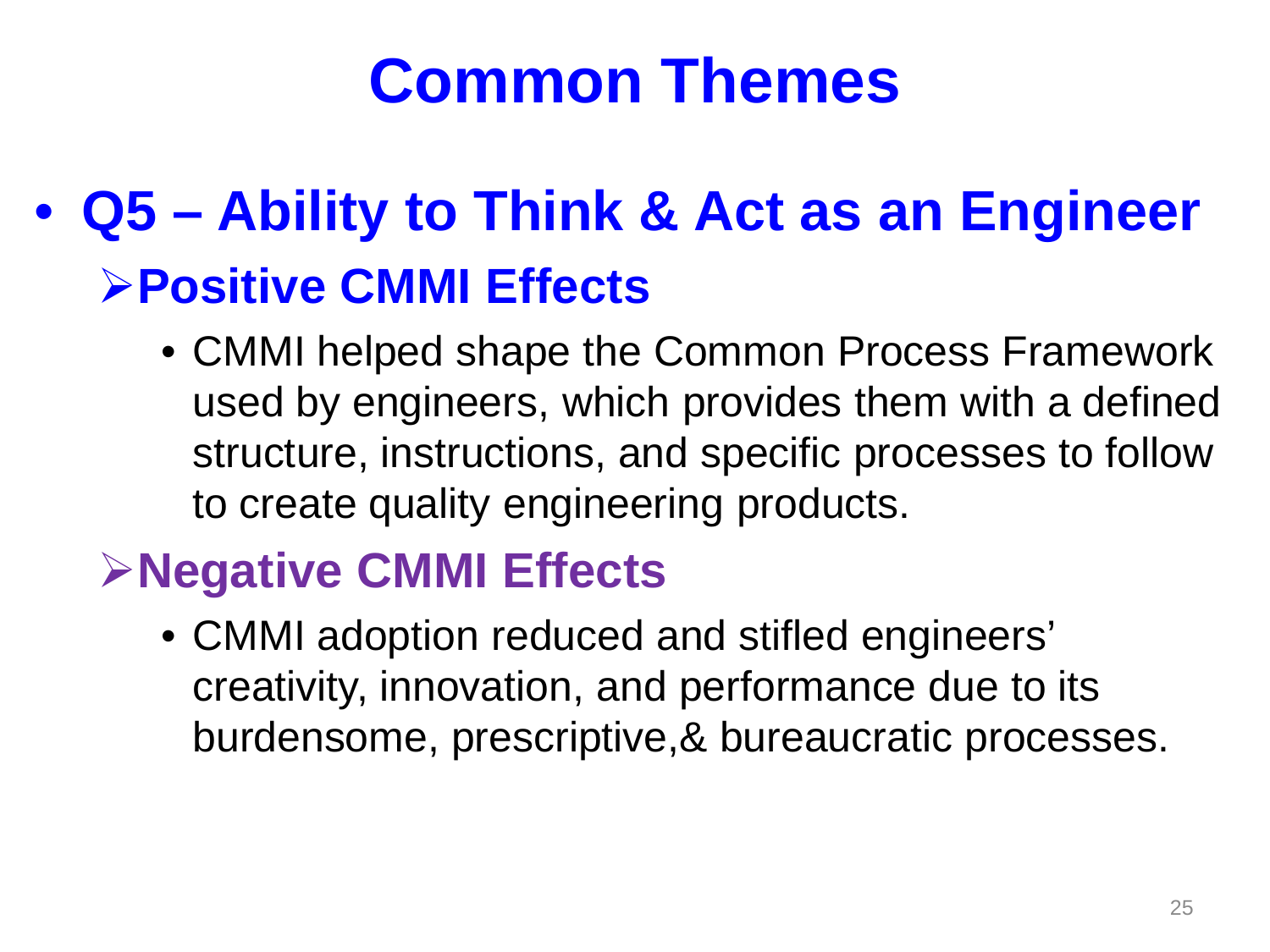#### • **Q5 – Ability to Think & Act as an Engineer Positive CMMI Effects**

• CMMI helped shape the Common Process Framework used by engineers, which provides them with a defined structure, instructions, and specific processes to follow to create quality engineering products.

#### **Negative CMMI Effects**

• CMMI adoption reduced and stifled engineers' creativity, innovation, and performance due to its burdensome, prescriptive,& bureaucratic processes.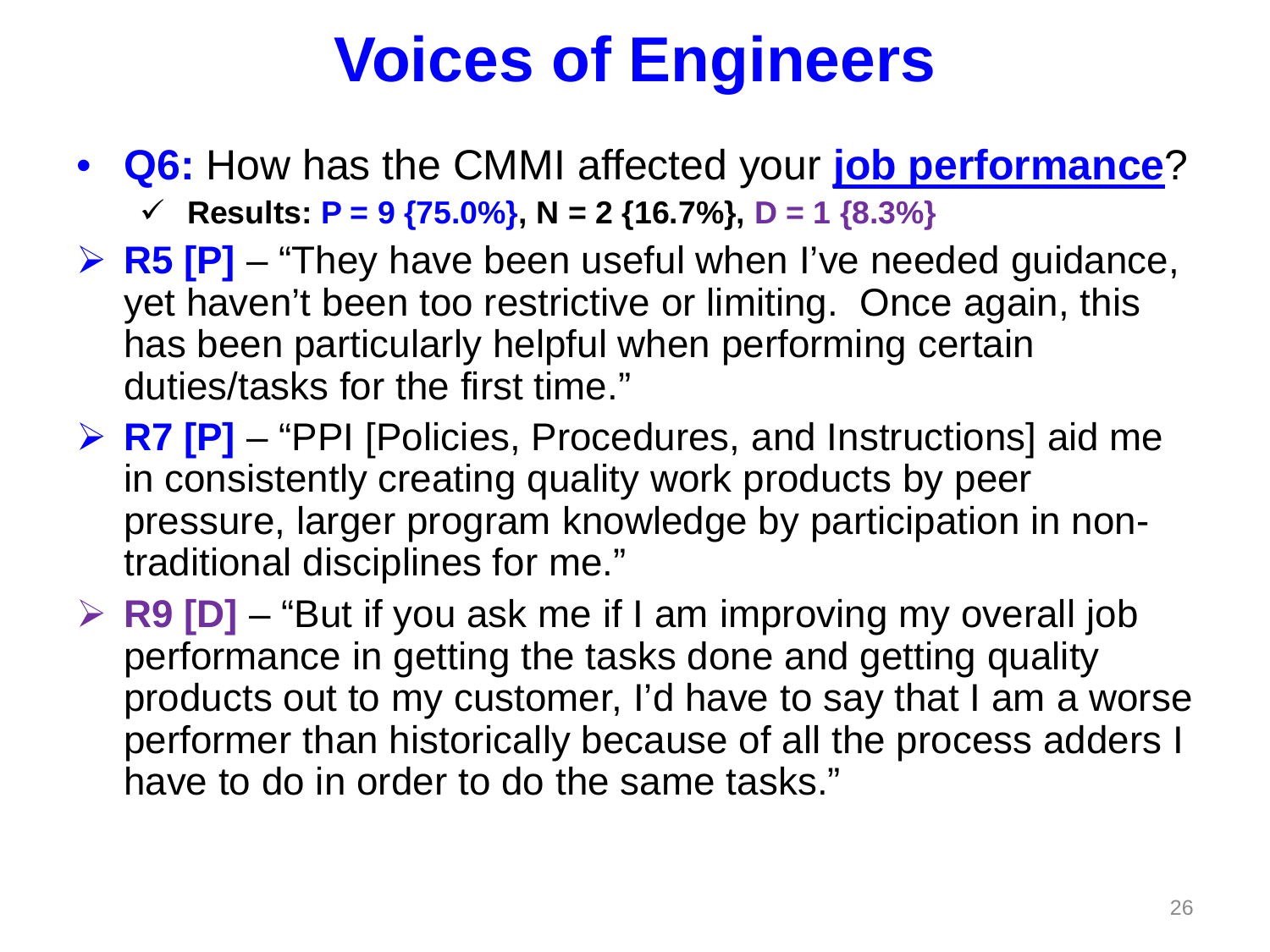• **Q6:** How has the CMMI affected your **job performance**?

**Results: P = 9 {75.0%}, N = 2 {16.7%}, D = 1 {8.3%}**

- **E5 [P]** "They have been useful when I've needed guidance, yet haven't been too restrictive or limiting. Once again, this has been particularly helpful when performing certain duties/tasks for the first time."
- **EX PR7 [P]** "PPI [Policies, Procedures, and Instructions] aid me in consistently creating quality work products by peer pressure, larger program knowledge by participation in nontraditional disciplines for me."
- **R9 [D]** "But if you ask me if I am improving my overall job performance in getting the tasks done and getting quality products out to my customer, I'd have to say that I am a worse performer than historically because of all the process adders I have to do in order to do the same tasks."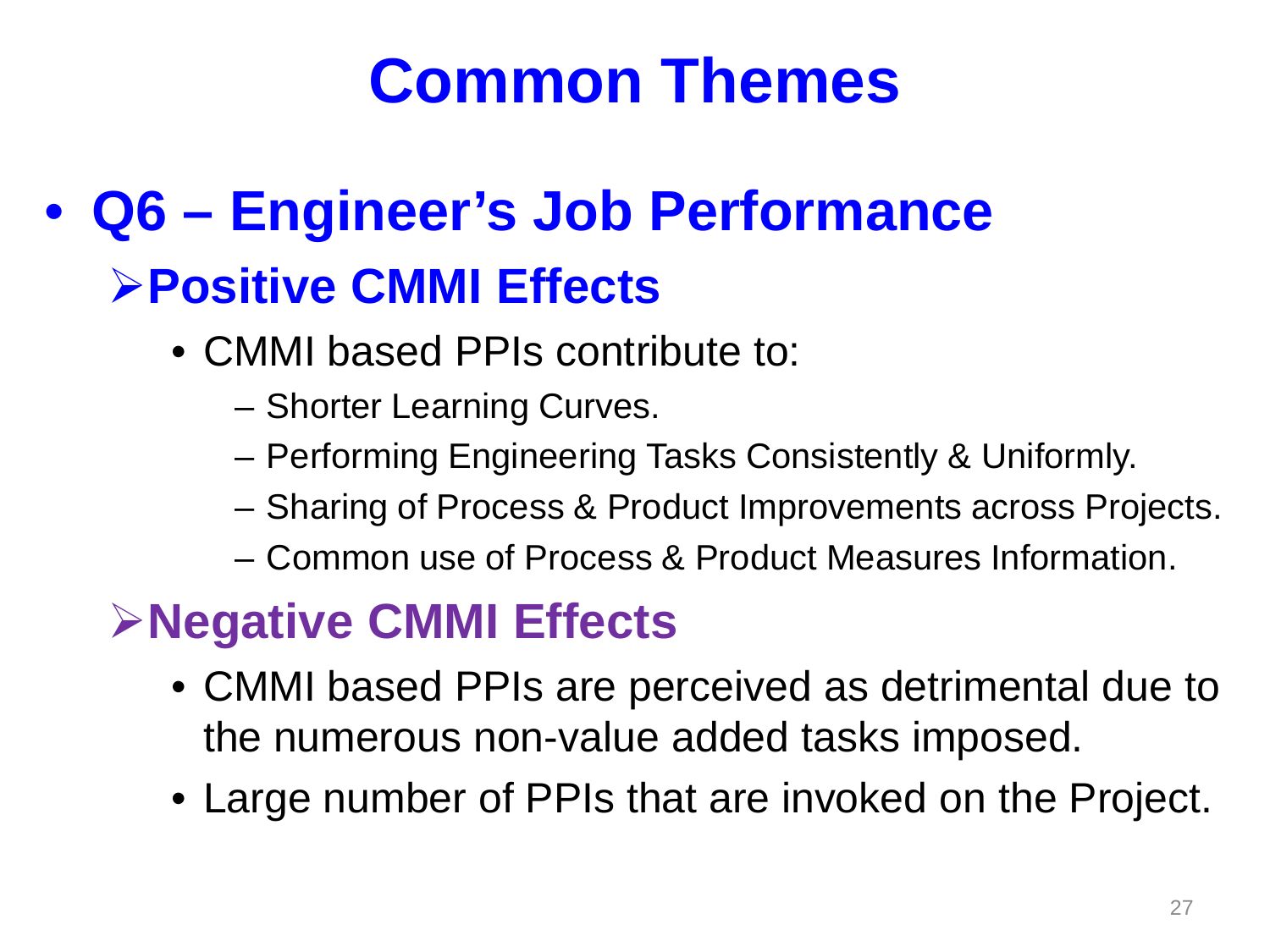#### • **Q6 – Engineer's Job Performance Positive CMMI Effects**

- CMMI based PPIs contribute to:
	- Shorter Learning Curves.
	- Performing Engineering Tasks Consistently & Uniformly.
	- Sharing of Process & Product Improvements across Projects.
	- Common use of Process & Product Measures Information.

#### **Negative CMMI Effects**

- CMMI based PPIs are perceived as detrimental due to the numerous non-value added tasks imposed.
- Large number of PPIs that are invoked on the Project.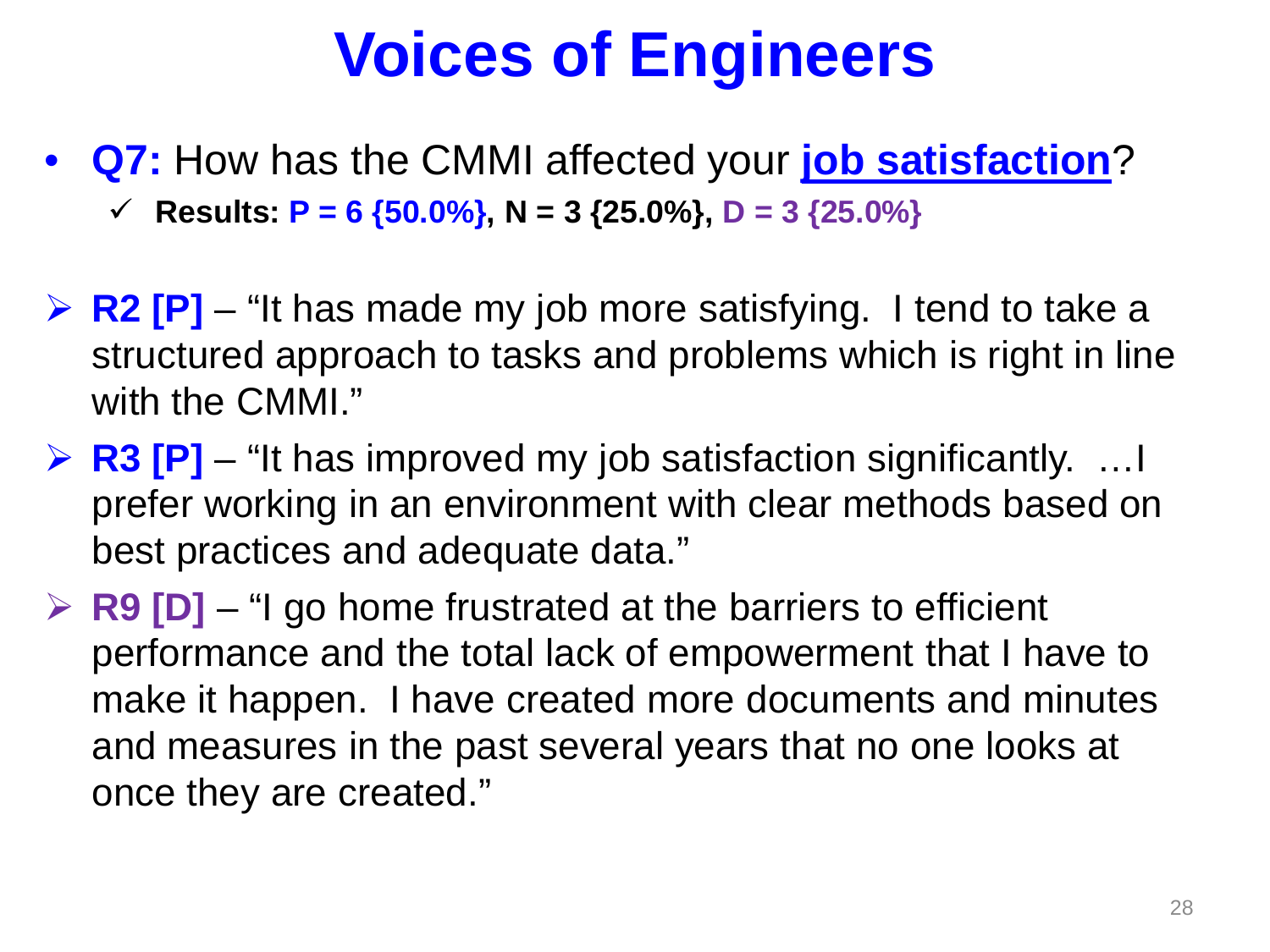• **Q7:** How has the CMMI affected your **job satisfaction**?

**Fig. 7** Results:  $P = 6 \{50.0\% \}$ , N = 3  $\{25.0\% \}$ , D = 3  $\{25.0\% \}$ 

- **EXECTE.** For a last Fig. 2 and the Statister Tend to take a  $\triangleright$  R2 [P] "It has made my job more satisfying. I tend to take a structured approach to tasks and problems which is right in line with the CMMI."
- **EXECTE:** R3 [P] "It has improved my job satisfaction significantly. …I prefer working in an environment with clear methods based on best practices and adequate data."
- **EP R9 [D]** "I go home frustrated at the barriers to efficient performance and the total lack of empowerment that I have to make it happen. I have created more documents and minutes and measures in the past several years that no one looks at once they are created."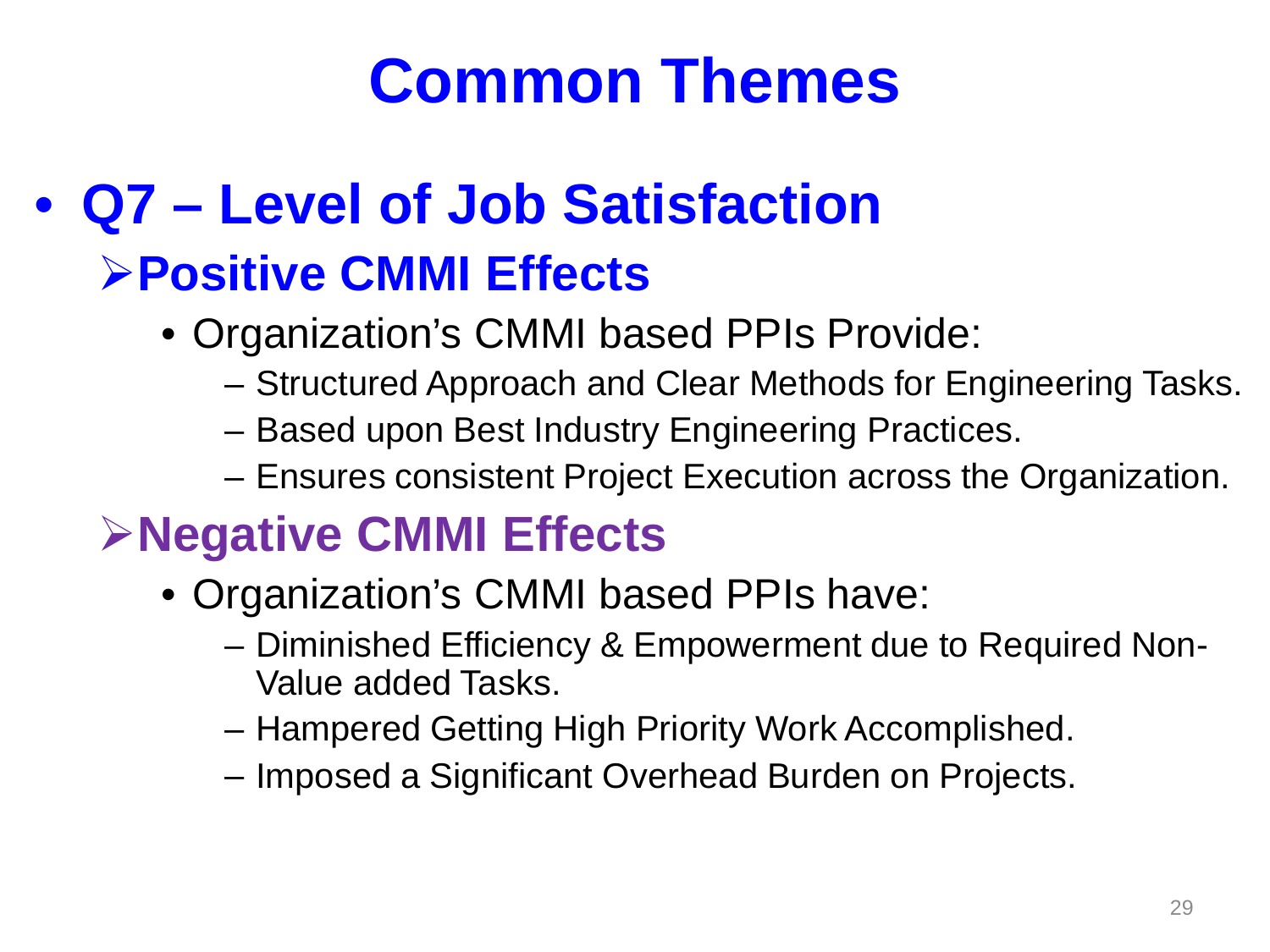#### • **Q7 – Level of Job Satisfaction**

#### **Positive CMMI Effects**

- Organization's CMMI based PPIs Provide:
	- Structured Approach and Clear Methods for Engineering Tasks.
	- Based upon Best Industry Engineering Practices.
	- Ensures consistent Project Execution across the Organization.

#### **Negative CMMI Effects**

- Organization's CMMI based PPIs have:
	- Diminished Efficiency & Empowerment due to Required Non-Value added Tasks.
	- Hampered Getting High Priority Work Accomplished.
	- Imposed a Significant Overhead Burden on Projects.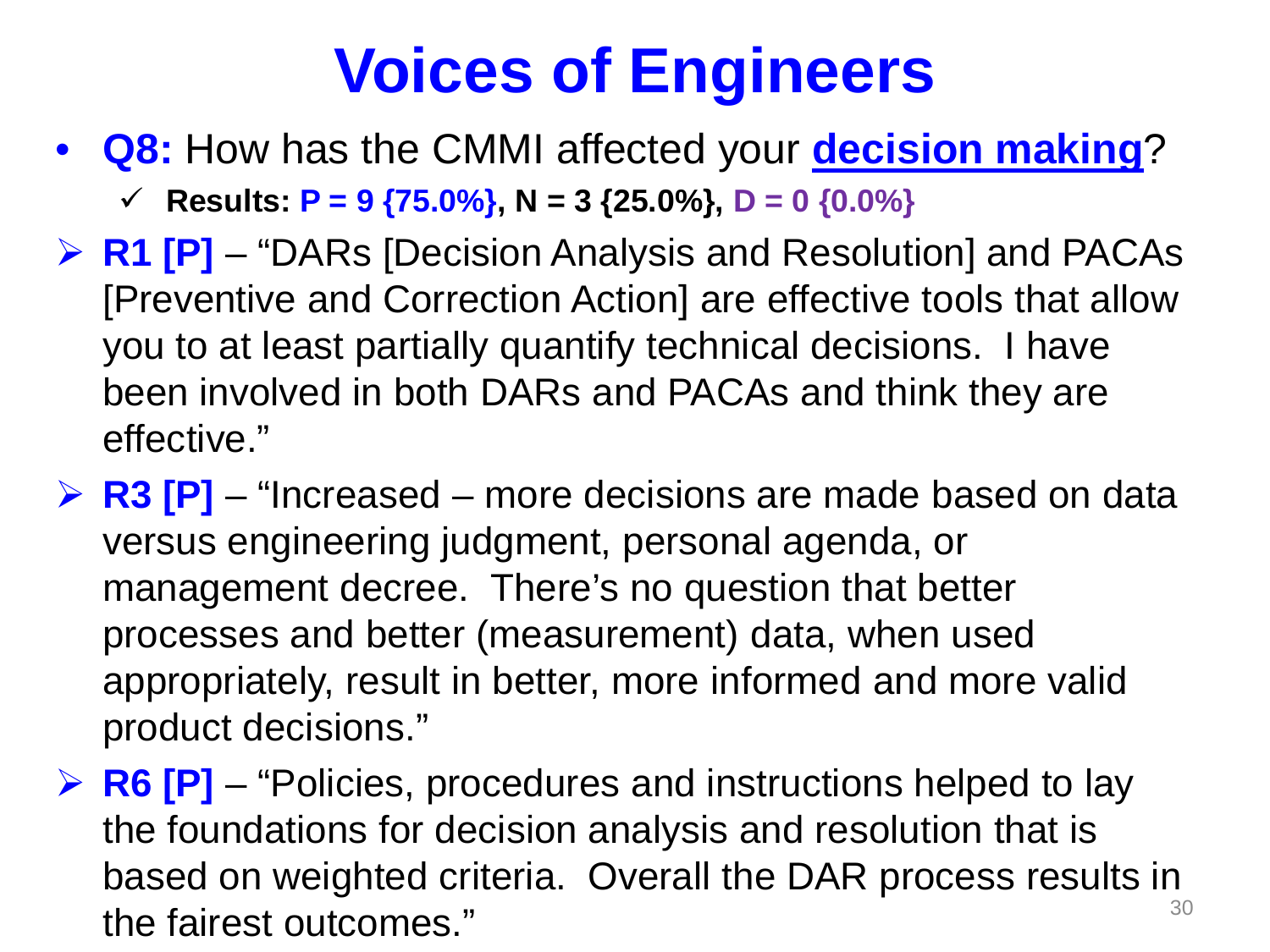• **Q8:** How has the CMMI affected your **decision making**?

**Fig. 7** Results:  $P = 9$  {75.0%}, N = 3 {25.0%}, D = 0 {0.0%}

- **R1 [P]** "DARs [Decision Analysis and Resolution] and PACAs [Preventive and Correction Action] are effective tools that allow you to at least partially quantify technical decisions. I have been involved in both DARs and PACAs and think they are effective."
- **EX P2 F3 [P]** "Increased more decisions are made based on data versus engineering judgment, personal agenda, or management decree. There's no question that better processes and better (measurement) data, when used appropriately, result in better, more informed and more valid product decisions."
- **EXECTE:** R6 [P] "Policies, procedures and instructions helped to lay the foundations for decision analysis and resolution that is based on weighted criteria. Overall the DAR process results in the fairest outcomes."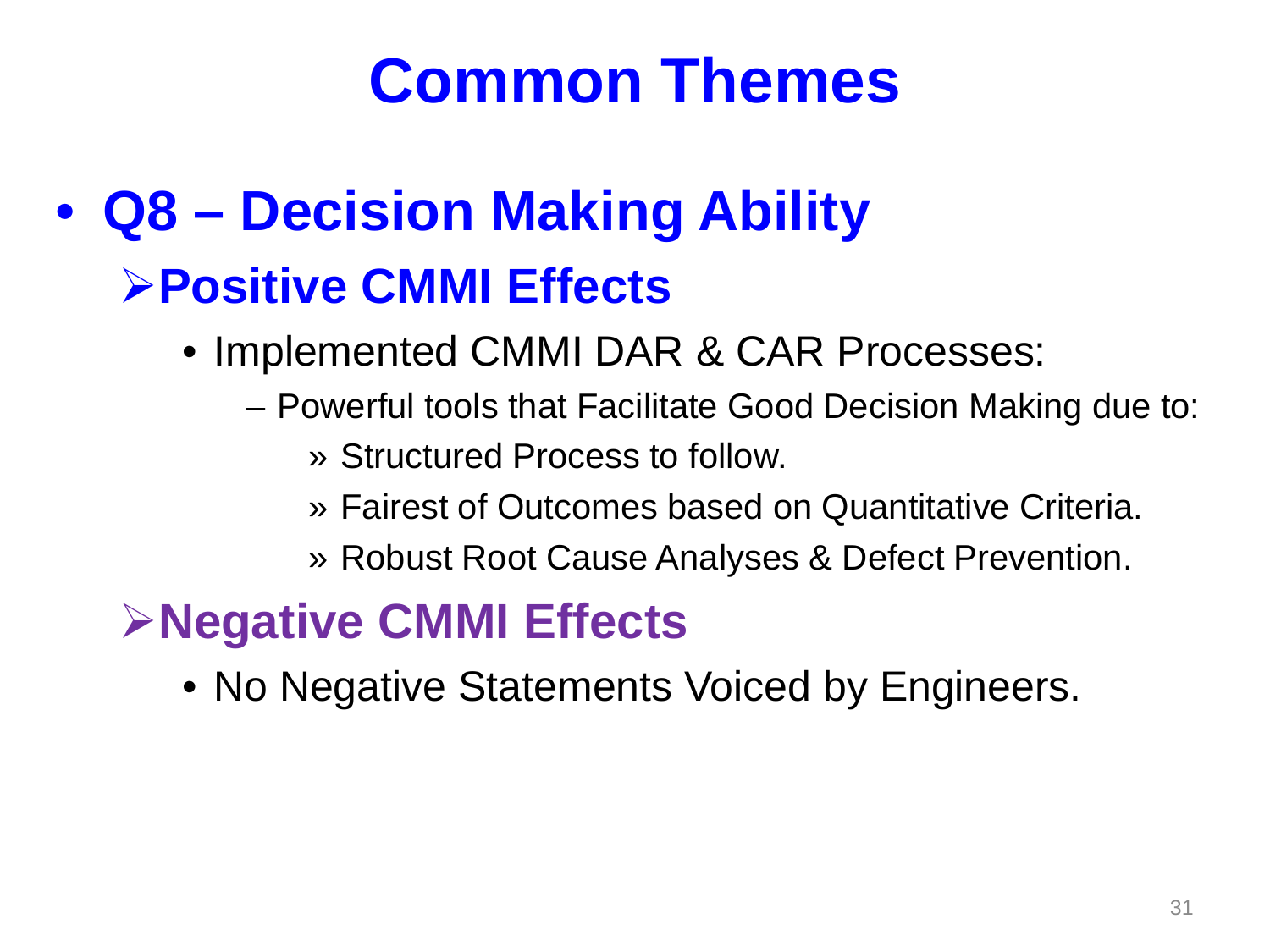#### • **Q8 – Decision Making Ability Positive CMMI Effects**

- Implemented CMMI DAR & CAR Processes:
	- Powerful tools that Facilitate Good Decision Making due to:
		- » Structured Process to follow.
		- » Fairest of Outcomes based on Quantitative Criteria.
		- » Robust Root Cause Analyses & Defect Prevention.

#### **Negative CMMI Effects**

• No Negative Statements Voiced by Engineers.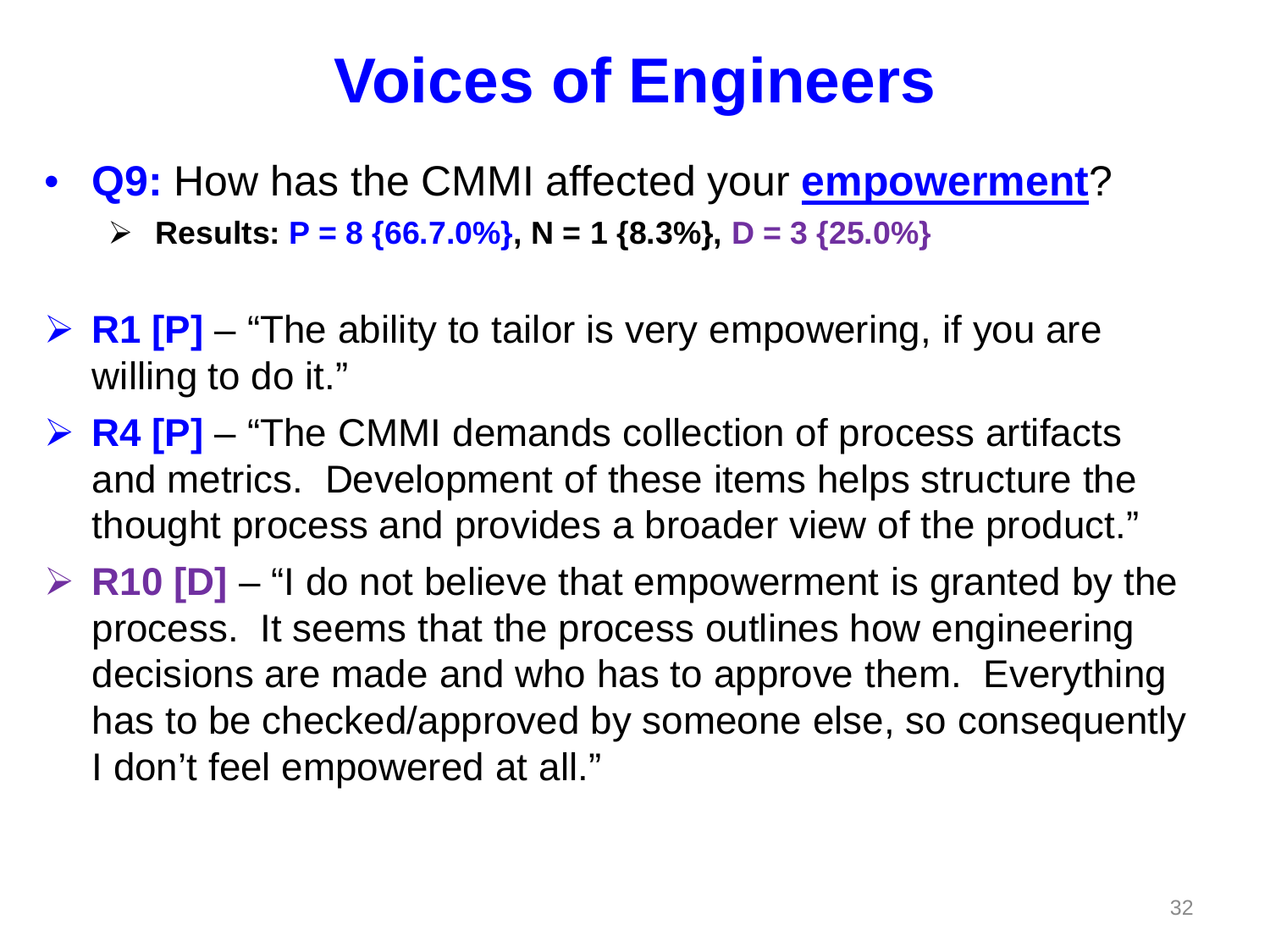- **Q9:** How has the CMMI affected your **empowerment**?
	- **Results: P = 8 {66.7.0%}, N = 1 {8.3%}, D = 3 {25.0%}**
- **EXET FIVE FIVIDE:** Fig. 2 and **R1 [P]** − "The ability to tailor is very empowering, if you are willing to do it."
- **EXA [P]** "The CMMI demands collection of process artifacts and metrics. Development of these items helps structure the thought process and provides a broader view of the product."
- **EXECTE:** R10 [D] "I do not believe that empowerment is granted by the process. It seems that the process outlines how engineering decisions are made and who has to approve them. Everything has to be checked/approved by someone else, so consequently I don't feel empowered at all."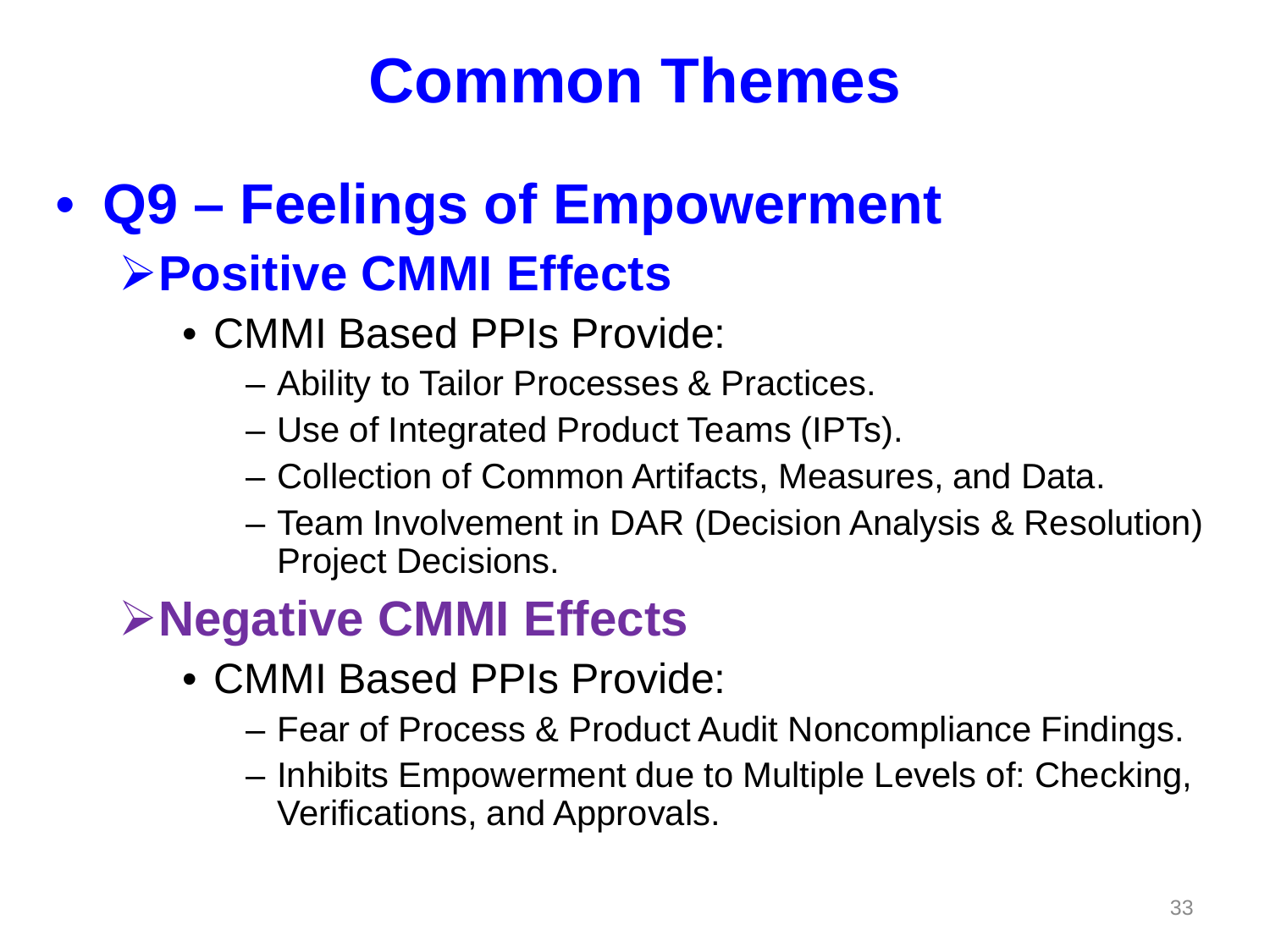#### • **Q9 – Feelings of Empowerment Positive CMMI Effects**

- CMMI Based PPIs Provide:
	- Ability to Tailor Processes & Practices.
	- Use of Integrated Product Teams (IPTs).
	- Collection of Common Artifacts, Measures, and Data.
	- Team Involvement in DAR (Decision Analysis & Resolution) Project Decisions.

#### **Negative CMMI Effects**

- CMMI Based PPIs Provide:
	- Fear of Process & Product Audit Noncompliance Findings.
	- Inhibits Empowerment due to Multiple Levels of: Checking, Verifications, and Approvals.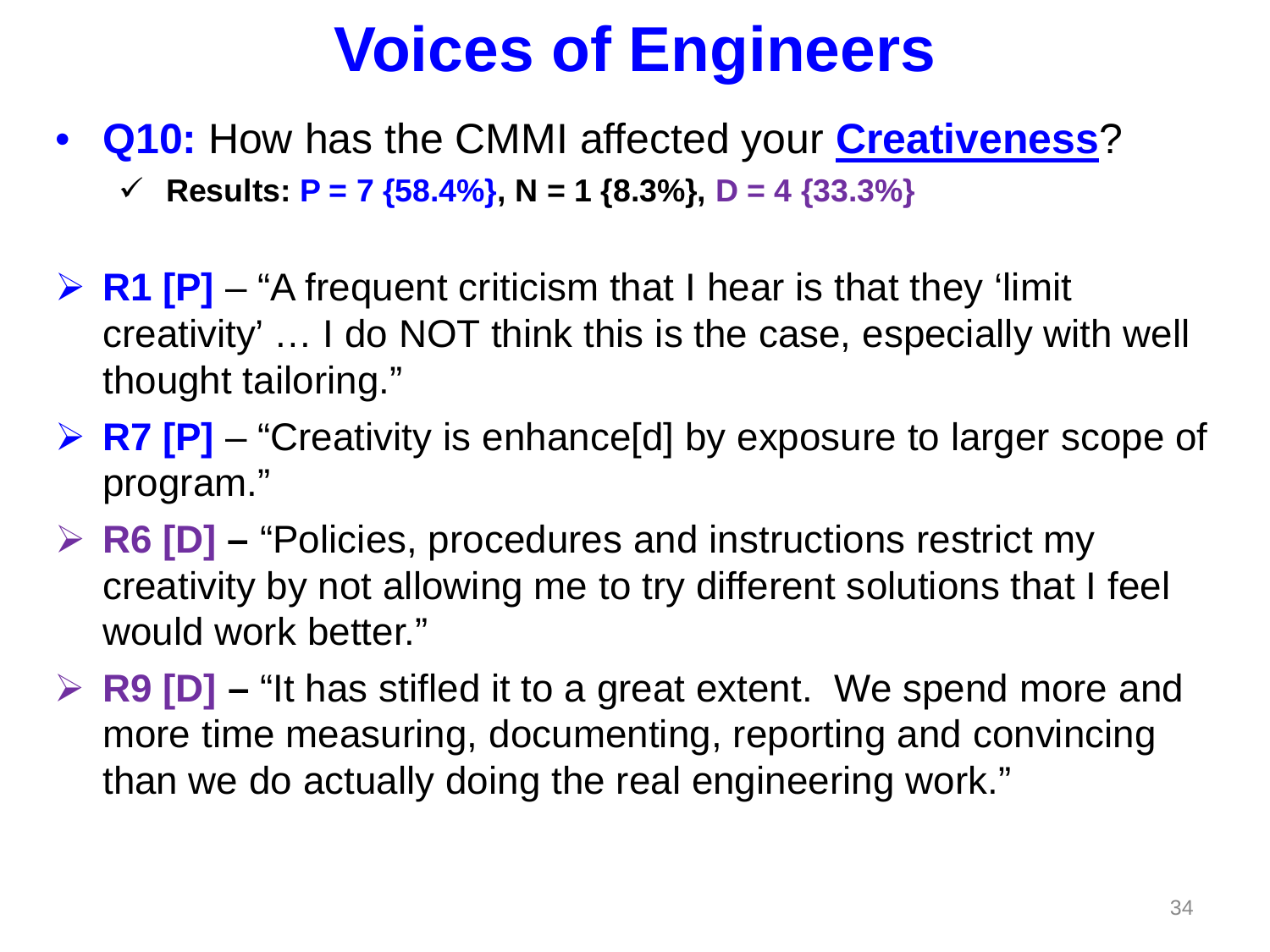• **Q10:** How has the CMMI affected your **Creativeness**?

**Fig. 7 Results: P = 7** {58.4%}, N = 1 {8.3%}, D = 4 {33.3%}

- **EXET FI** − "A frequent criticism that I hear is that they 'limit creativity' … I do NOT think this is the case, especially with well thought tailoring."
- **EXT [P]** "Creativity is enhance[d] by exposure to larger scope of program."
- **R6 [D] –** "Policies, procedures and instructions restrict my creativity by not allowing me to try different solutions that I feel would work better."
- **EPPENDED** F The Strive of the spend more and **Repart Find Strips** and **Repart Strips** Find Strips and  $\triangleright$  **R9** [D] − "It has stifled it to a great extent. We spend more and more time measuring, documenting, reporting and convincing than we do actually doing the real engineering work."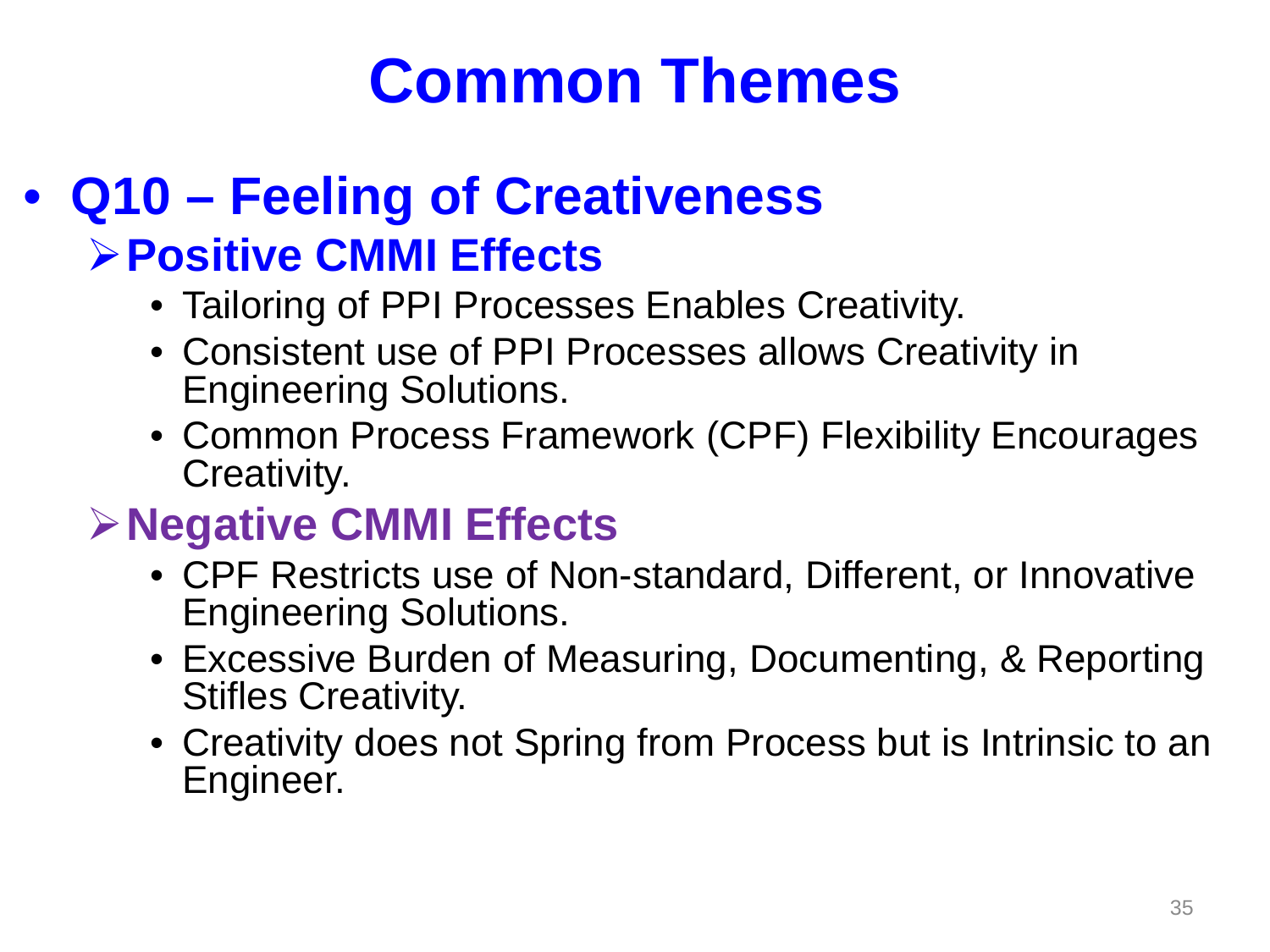#### • **Q10 – Feeling of Creativeness Positive CMMI Effects**

- Tailoring of PPI Processes Enables Creativity.
- Consistent use of PPI Processes allows Creativity in Engineering Solutions.
- Common Process Framework (CPF) Flexibility Encourages Creativity.

#### **Negative CMMI Effects**

- CPF Restricts use of Non-standard, Different, or Innovative Engineering Solutions.
- Excessive Burden of Measuring, Documenting, & Reporting Stifles Creativity.
- Creativity does not Spring from Process but is Intrinsic to an Engineer.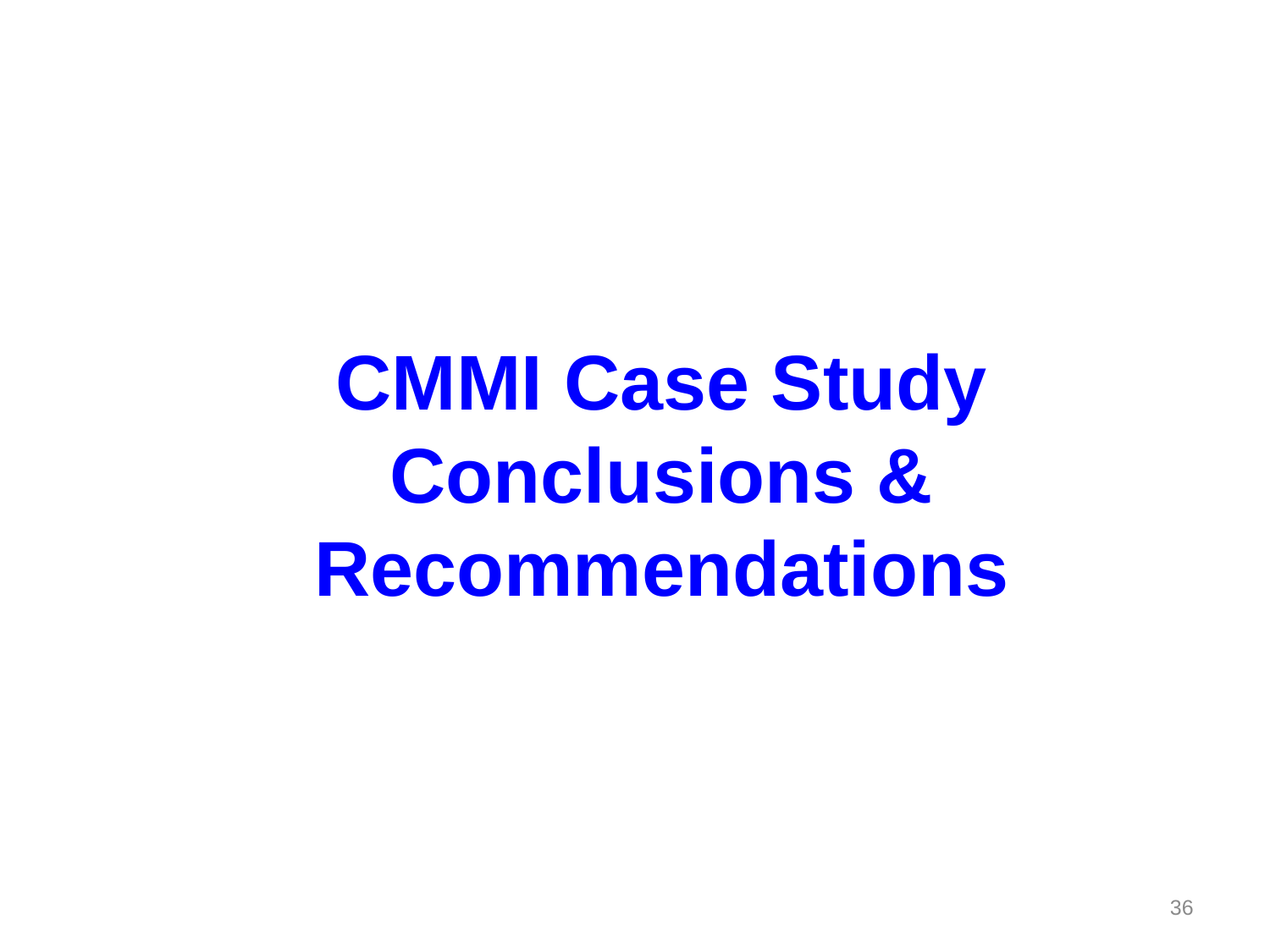**CMMI Case Study Conclusions & Recommendations**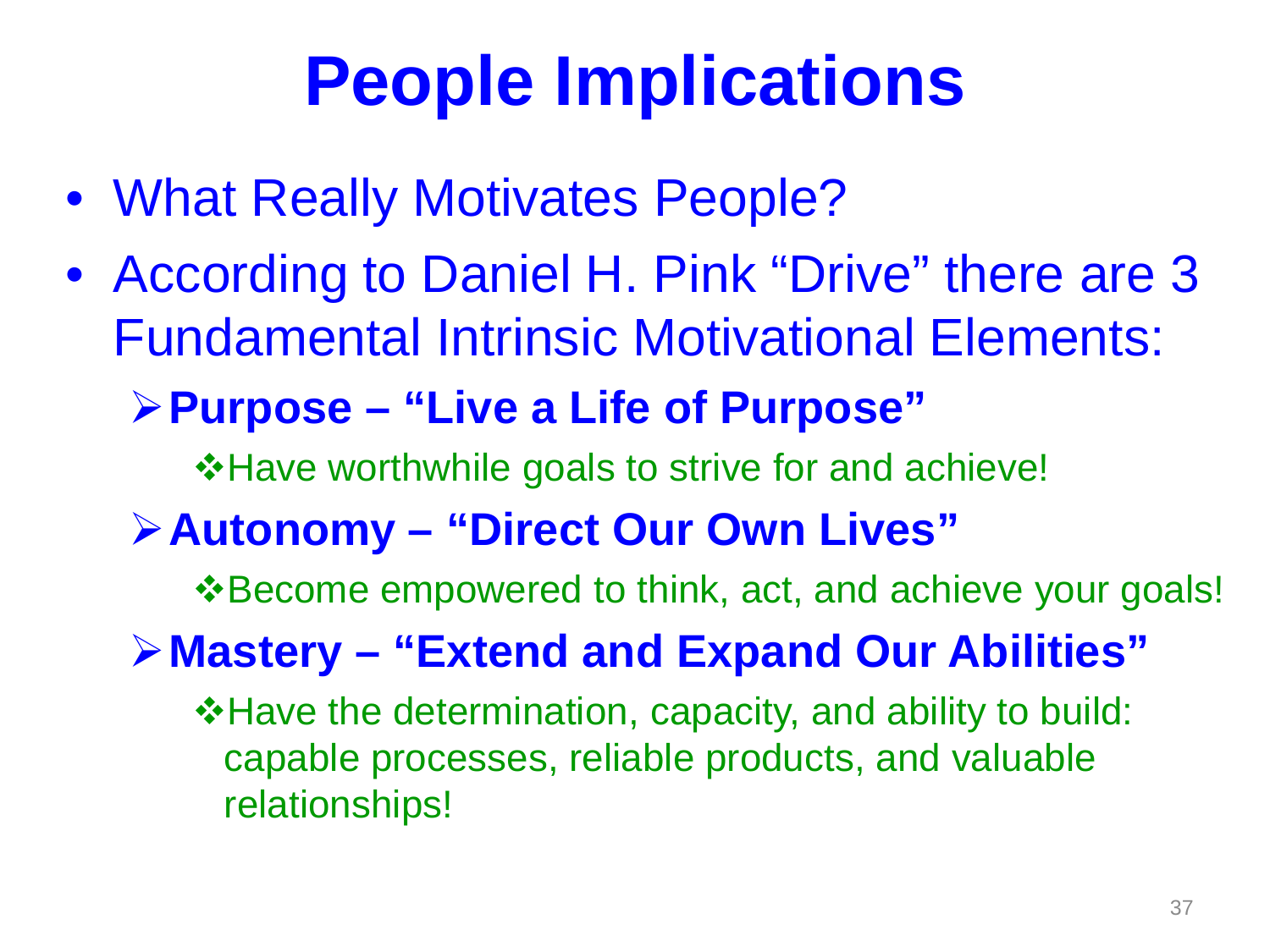# **People Implications**

- What Really Motivates People?
- According to Daniel H. Pink "Drive" there are 3 Fundamental Intrinsic Motivational Elements:
	- **Purpose – "Live a Life of Purpose"**

**\*Have worthwhile goals to strive for and achieve!** 

**Autonomy – "Direct Our Own Lives"**

**\*** Become empowered to think, act, and achieve your goals!

**Mastery – "Extend and Expand Our Abilities"**

Have the determination, capacity, and ability to build: capable processes, reliable products, and valuable relationships!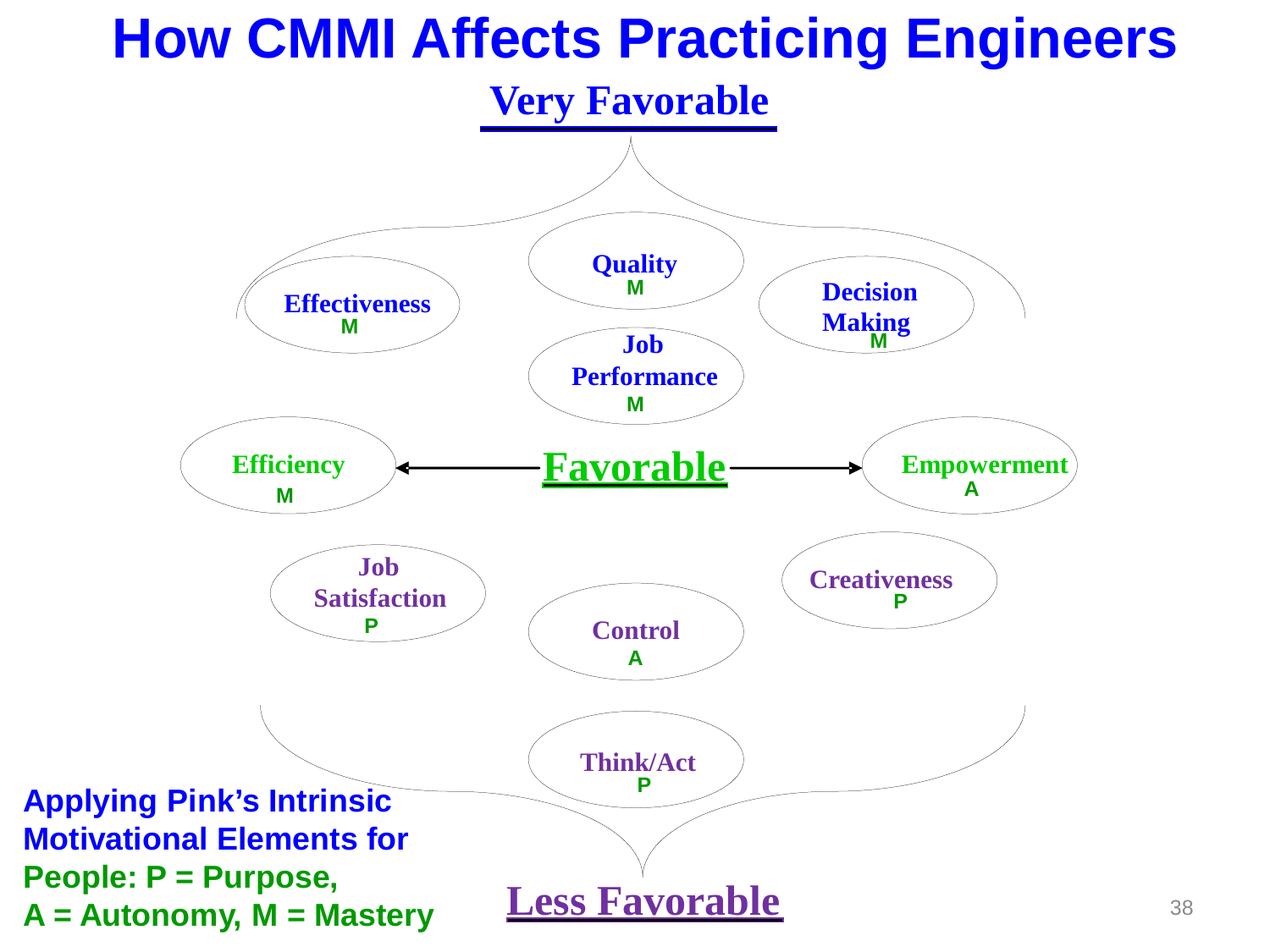#### **How CMMI Affects Practicing Engineers**

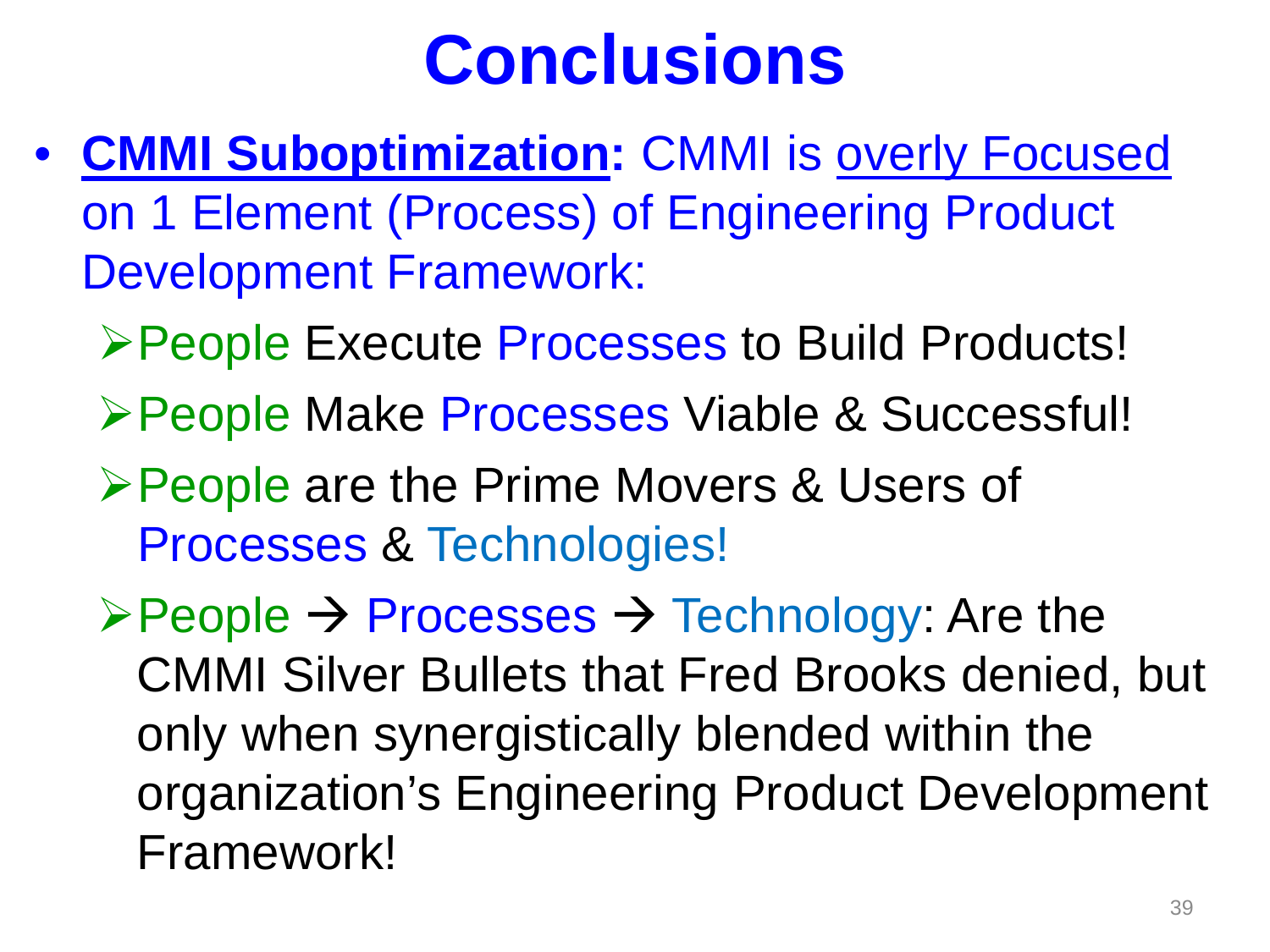# **Conclusions**

- **CMMI Suboptimization:** CMMI is overly Focused on 1 Element (Process) of Engineering Product Development Framework:
	- People Execute Processes to Build Products!
	- People Make Processes Viable & Successful!
	- **≻People are the Prime Movers & Users of** Processes & Technologies!
	- $\triangleright$  People  $\rightarrow$  Processes  $\rightarrow$  Technology: Are the CMMI Silver Bullets that Fred Brooks denied, but only when synergistically blended within the organization's Engineering Product Development Framework!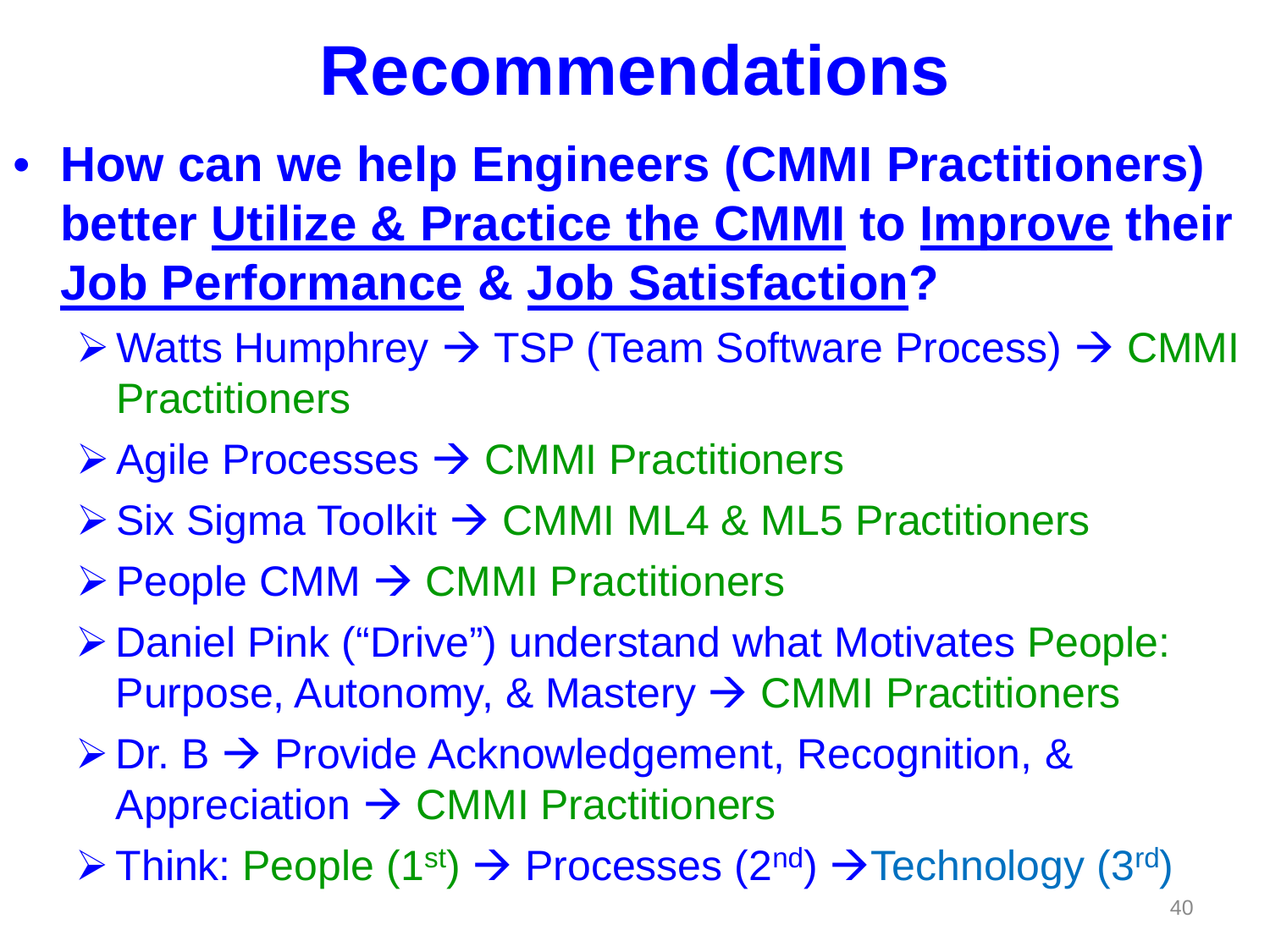# **Recommendations**

- **How can we help Engineers (CMMI Practitioners) better Utilize & Practice the CMMI to Improve their Job Performance & Job Satisfaction?**
	- $\triangleright$  Watts Humphrey  $\rightarrow$  TSP (Team Software Process)  $\rightarrow$  CMMI **Practitioners**
	- $\triangleright$  Agile Processes  $\rightarrow$  CMMI Practitioners
	- $\triangleright$  Six Sigma Toolkit  $\rightarrow$  CMMI ML4 & ML5 Practitioners
	- $\triangleright$  People CMM  $\rightarrow$  CMMI Practitioners
	- Daniel Pink ("Drive") understand what Motivates People: Purpose, Autonomy, & Mastery  $\rightarrow$  CMMI Practitioners
	- $\triangleright$  Dr. B  $\rightarrow$  Provide Acknowledgement, Recognition, & Appreciation  $\rightarrow$  CMMI Practitioners
	- $\triangleright$  Think: People (1<sup>st</sup>)  $\rightarrow$  Processes (2<sup>nd</sup>)  $\rightarrow$  Technology (3<sup>rd</sup>)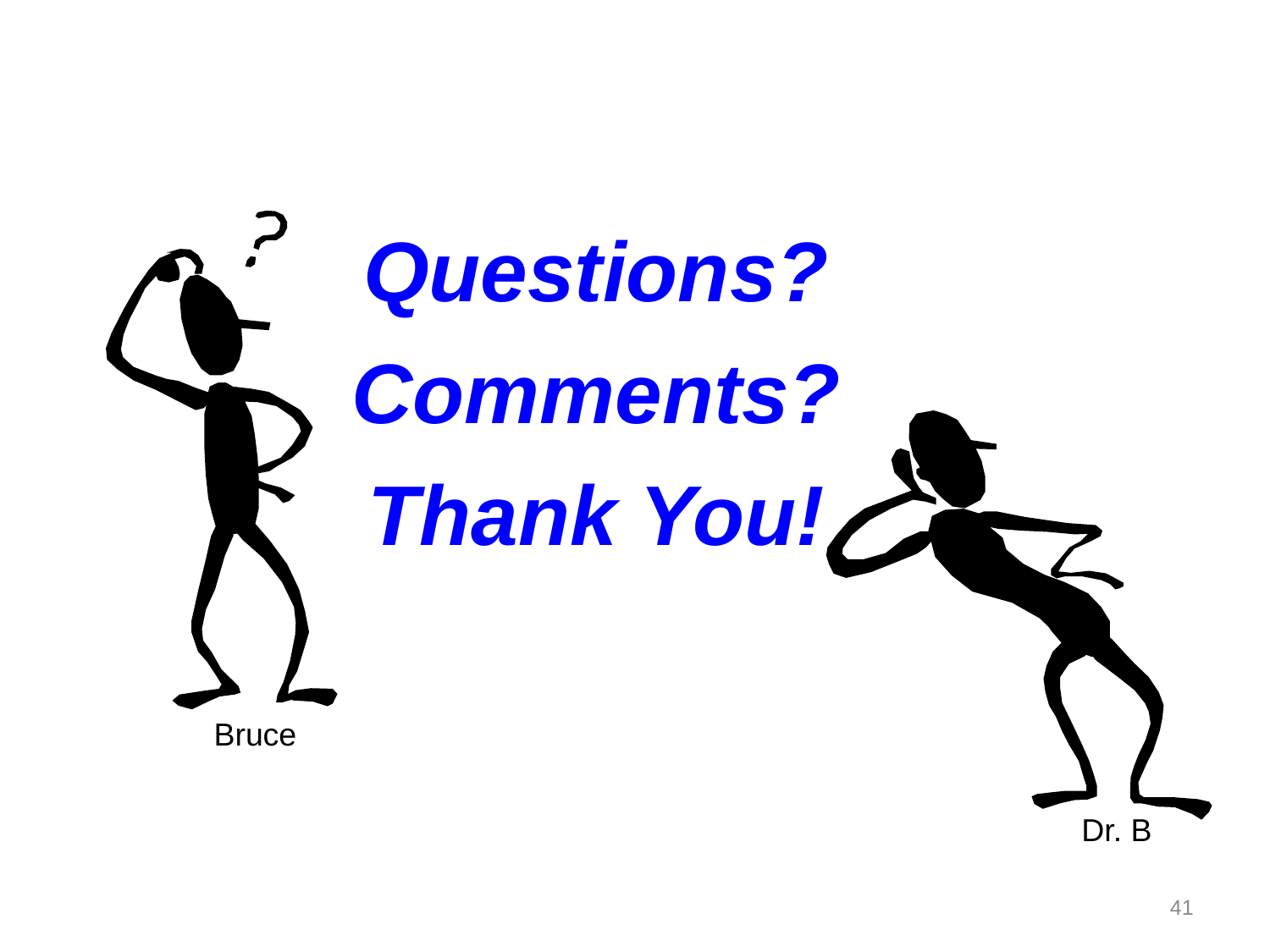

Dr. B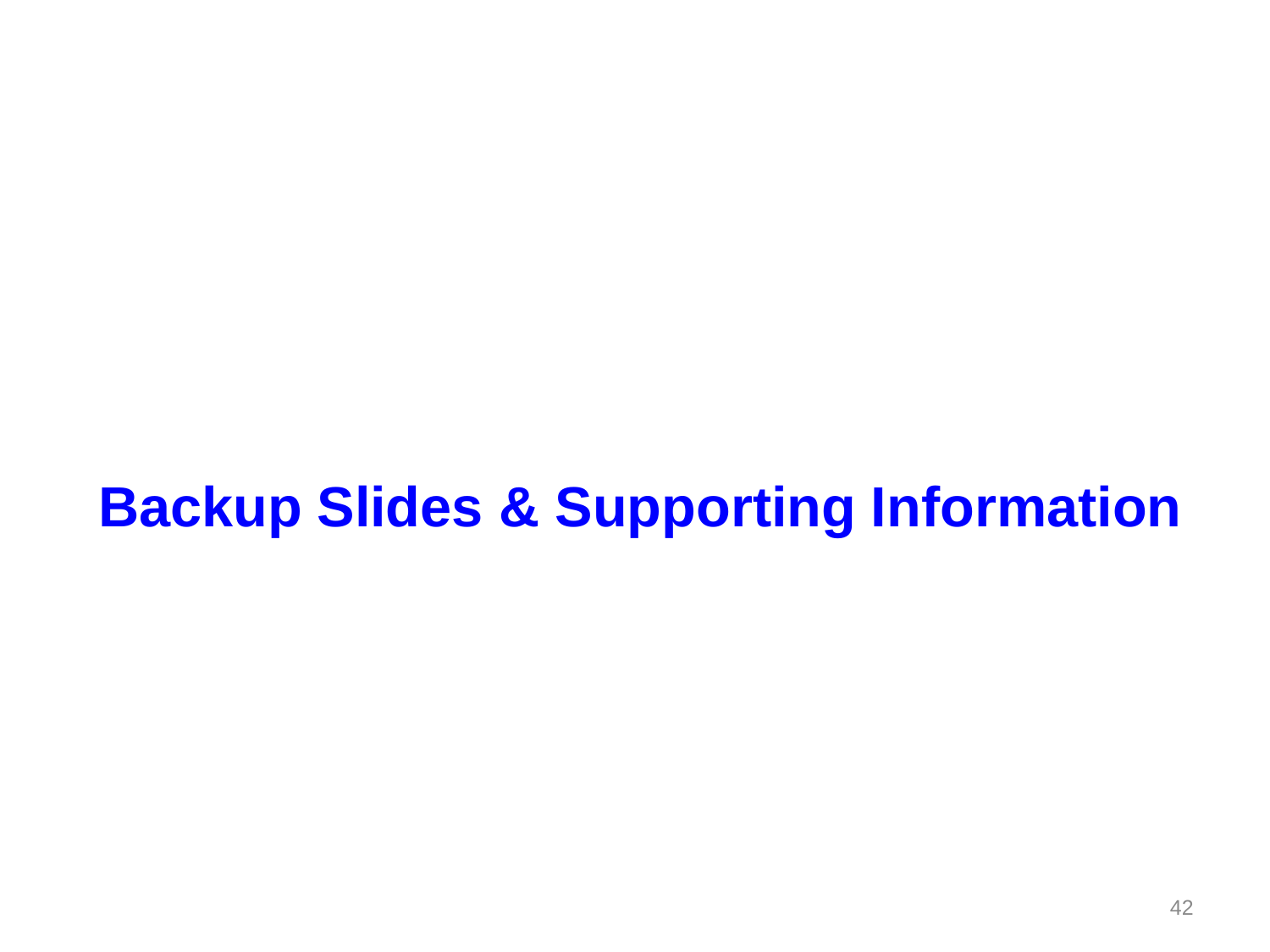#### **Backup Slides & Supporting Information**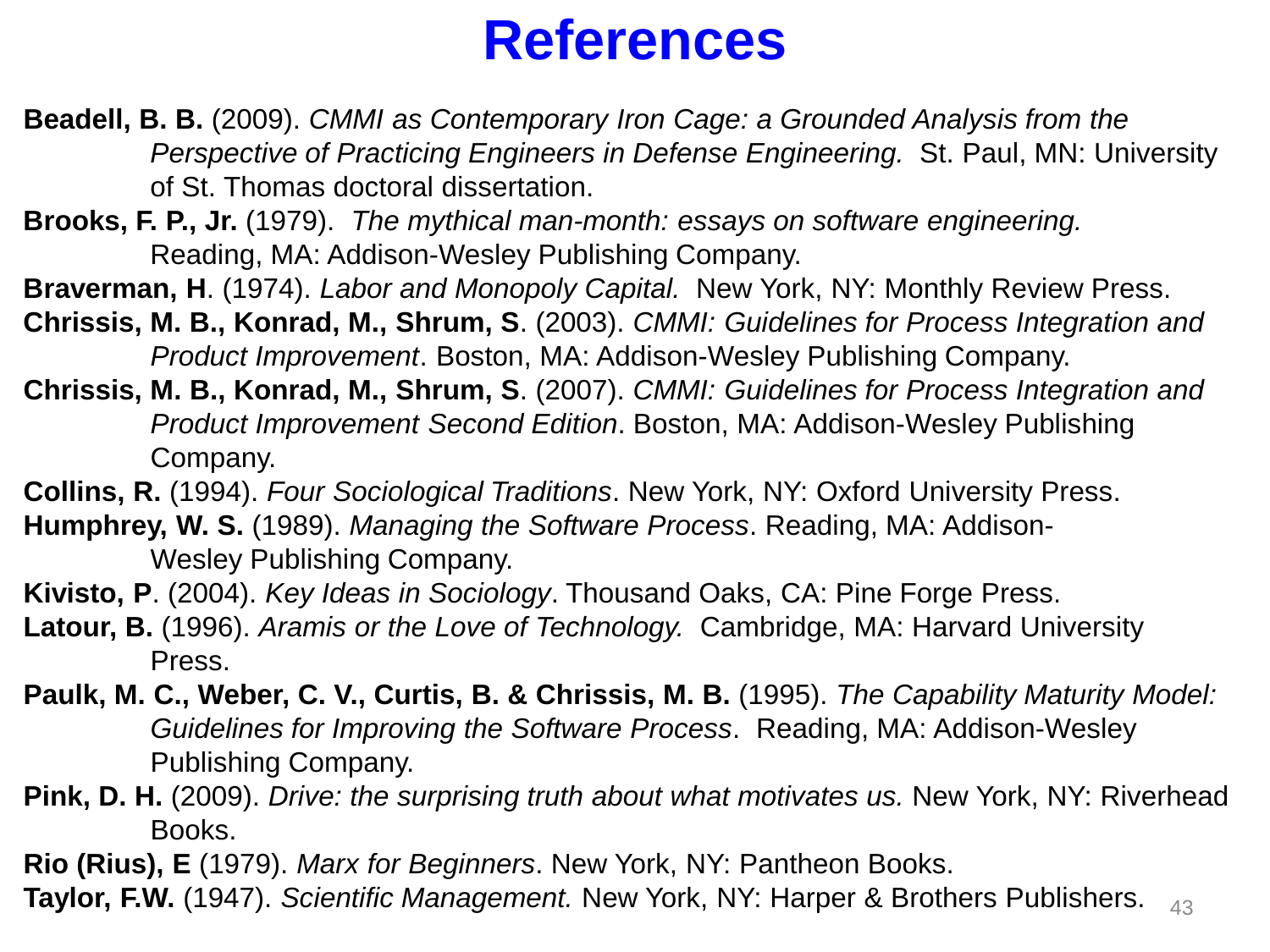#### **References**

- **Beadell, B. B.** (2009). *CMMI as Contemporary Iron Cage: a Grounded Analysis from the Perspective of Practicing Engineers in Defense Engineering.* St. Paul, MN: University of St. Thomas doctoral dissertation.
- **Brooks, F. P., Jr.** (1979). *The mythical man-month: essays on software engineering.*  Reading, MA: Addison-Wesley Publishing Company.
- **Braverman, H**. (1974). *Labor and Monopoly Capital.* New York, NY: Monthly Review Press.
- **Chrissis, M. B., Konrad, M., Shrum, S**. (2003). *CMMI: Guidelines for Process Integration and Product Improvement*. Boston, MA: Addison-Wesley Publishing Company.
- **Chrissis, M. B., Konrad, M., Shrum, S**. (2007). *CMMI: Guidelines for Process Integration and Product Improvement Second Edition*. Boston, MA: Addison-Wesley Publishing Company.
- **Collins, R.** (1994). *Four Sociological Traditions*. New York, NY: Oxford University Press.
- **Humphrey, W. S.** (1989). *Managing the Software Process*. Reading, MA: Addison-Wesley Publishing Company.
- **Kivisto, P**. (2004). *Key Ideas in Sociology*. Thousand Oaks, CA: Pine Forge Press.
- **Latour, B.** (1996). *Aramis or the Love of Technology.* Cambridge, MA: Harvard University Press.
- **Paulk, M. C., Weber, C. V., Curtis, B. & Chrissis, M. B.** (1995). *The Capability Maturity Model: Guidelines for Improving the Software Process*. Reading, MA: Addison-Wesley Publishing Company.
- **Pink, D. H.** (2009). *Drive: the surprising truth about what motivates us.* New York, NY: Riverhead Books.
- **Rio (Rius), E** (1979). *Marx for Beginners*. New York, NY: Pantheon Books.

43 **Taylor, F.W.** (1947). *Scientific Management.* New York, NY: Harper & Brothers Publishers.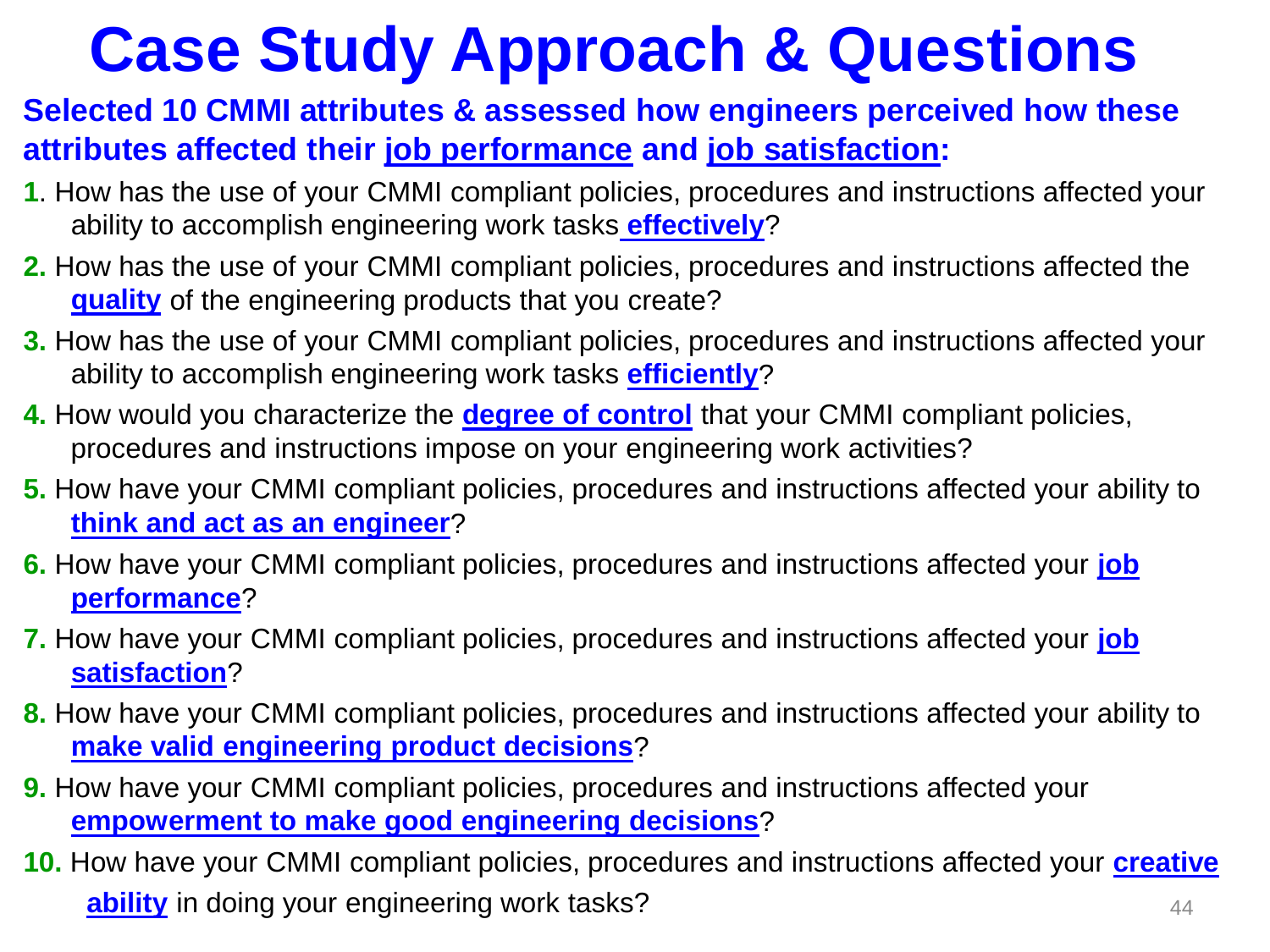# **Case Study Approach & Questions**

#### **Selected 10 CMMI attributes & assessed how engineers perceived how these attributes affected their job performance and job satisfaction:**

- **1**. How has the use of your CMMI compliant policies, procedures and instructions affected your ability to accomplish engineering work tasks **effectively**?
- **2.** How has the use of your CMMI compliant policies, procedures and instructions affected the **quality** of the engineering products that you create?
- **3.** How has the use of your CMMI compliant policies, procedures and instructions affected your ability to accomplish engineering work tasks **efficiently**?
- **4.** How would you characterize the **degree of control** that your CMMI compliant policies, procedures and instructions impose on your engineering work activities?
- **5.** How have your CMMI compliant policies, procedures and instructions affected your ability to **think and act as an engineer**?
- **6.** How have your CMMI compliant policies, procedures and instructions affected your **job performance**?
- **7.** How have your CMMI compliant policies, procedures and instructions affected your **job satisfaction**?
- **8.** How have your CMMI compliant policies, procedures and instructions affected your ability to **make valid engineering product decisions**?
- **9.** How have your CMMI compliant policies, procedures and instructions affected your **empowerment to make good engineering decisions**?
- **10.** How have your CMMI compliant policies, procedures and instructions affected your **creative ability** in doing your engineering work tasks?  $44$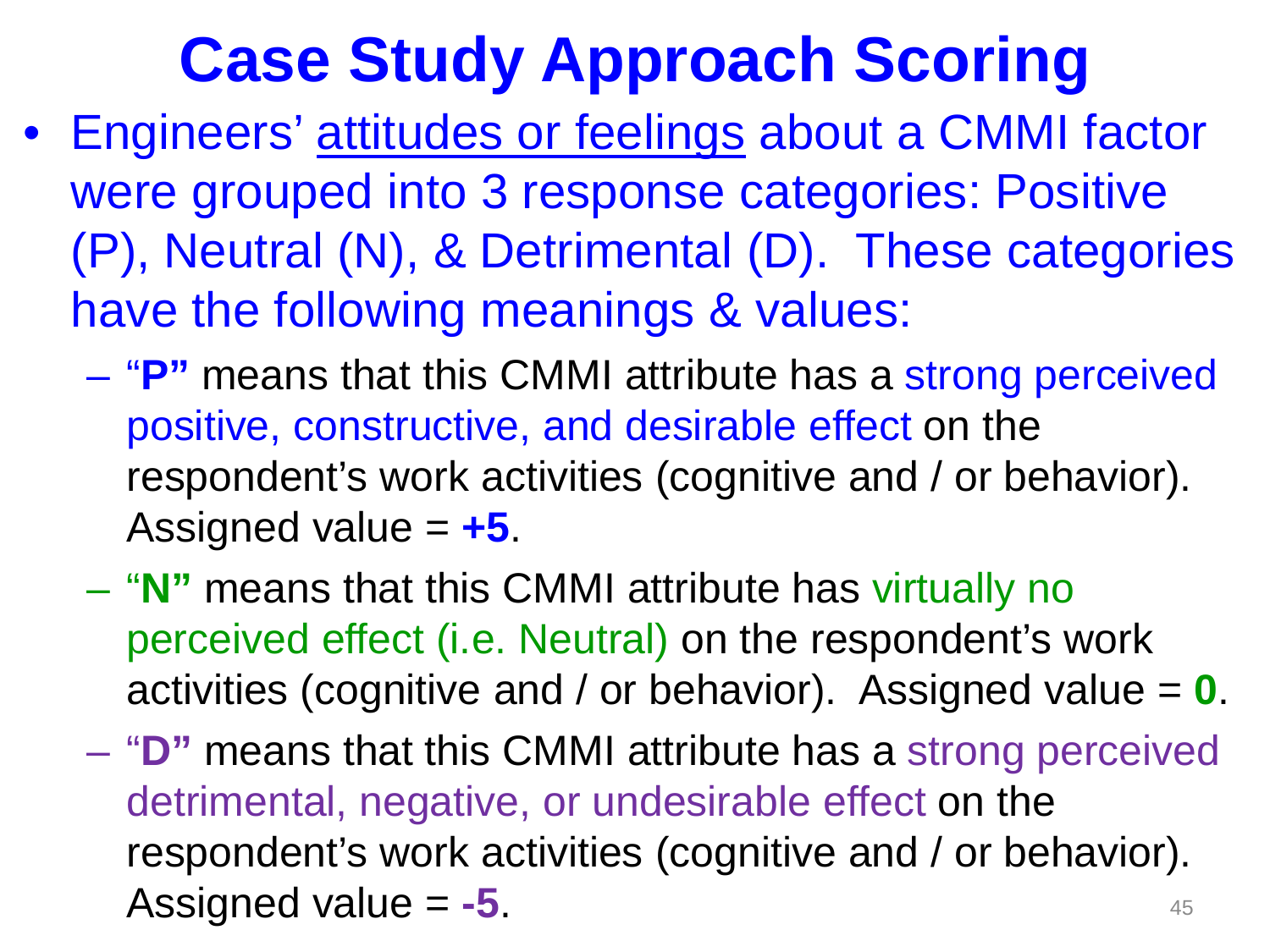# **Case Study Approach Scoring**

- Engineers' attitudes or feelings about a CMMI factor were grouped into 3 response categories: Positive (P), Neutral (N), & Detrimental (D). These categories have the following meanings & values:
	- "**P"** means that this CMMI attribute has a strong perceived positive, constructive, and desirable effect on the respondent's work activities (cognitive and / or behavior). Assigned value = **+5**.
	- "**N"** means that this CMMI attribute has virtually no perceived effect (i.e. Neutral) on the respondent's work activities (cognitive and / or behavior). Assigned value = **0**.
	- "**D"** means that this CMMI attribute has a strong perceived detrimental, negative, or undesirable effect on the respondent's work activities (cognitive and / or behavior). Assigned value  $= -5$ .  $45$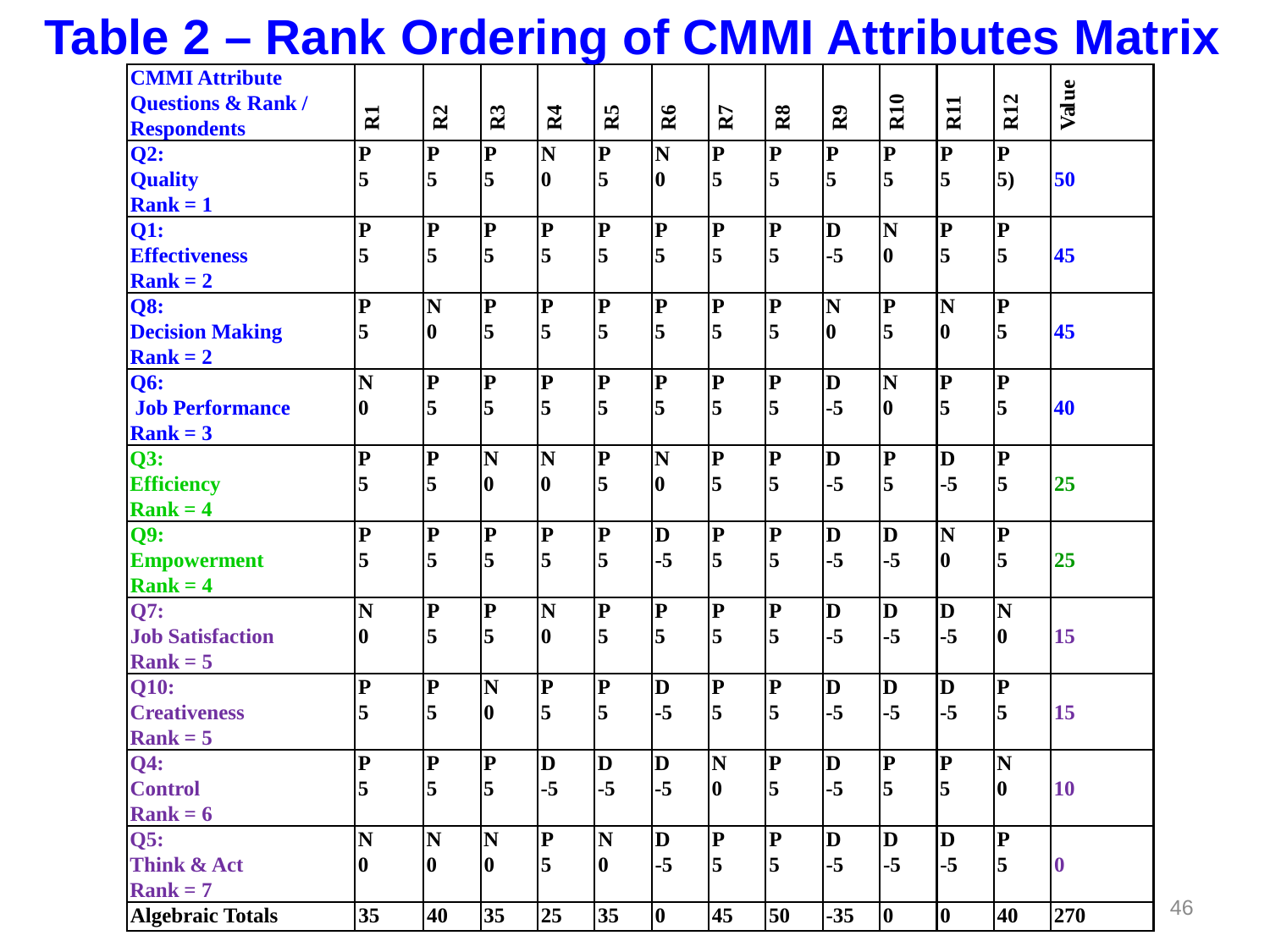#### **Table 2 – Rank Ordering of CMMI Attributes Matrix**

| <b>CMMI Attribute</b>              |                         |                         |                         |                         |                         |                         |                         |                         |                         |                         |                         |                         |           |
|------------------------------------|-------------------------|-------------------------|-------------------------|-------------------------|-------------------------|-------------------------|-------------------------|-------------------------|-------------------------|-------------------------|-------------------------|-------------------------|-----------|
| <b>Questions &amp; Rank/</b>       |                         |                         |                         |                         |                         |                         |                         |                         |                         | R <sub>10</sub>         | R <sub>11</sub>         | <b>R12</b>              | Value     |
| <b>Respondents</b>                 | $\mathbb{\Sigma}$       | R <sub>2</sub>          | R <sub>3</sub>          | R <sub>4</sub>          | R <sub>5</sub>          | R6                      | R7                      | R8                      | $\bf{R}$                |                         |                         |                         |           |
| Q2:                                | $\overline{\mathbf{P}}$ | $ {\bf P} $             | $\mathbf{P}$            | N                       | $\mathbf{P}$            | N                       | $\overline{\mathbf{P}}$ | $\overline{\mathbf{P}}$ | $\overline{\mathbf{P}}$ | $\overline{\mathbf{P}}$ | $\overline{\mathbf{P}}$ | $\overline{\mathbf{P}}$ |           |
| <b>Quality</b>                     | 5                       | 5                       | 5                       | 10                      | 5                       | 10                      | 5                       | 5                       | $\overline{5}$          | 5                       | 5                       | $\overline{5}$          | 50        |
| $Rank = 1$                         |                         |                         |                         |                         |                         |                         |                         |                         |                         |                         |                         |                         |           |
| <b>Q1:</b>                         | $\overline{\mathbf{P}}$ | $\overline{\mathbf{P}}$ | $\overline{\mathbf{P}}$ | $\overline{\mathbf{P}}$ | $\overline{\mathbf{P}}$ | $\bf P$                 | $\bf P$                 | $\overline{\mathbf{P}}$ | $\bf D$                 | $\overline{\bf N}$      | $\overline{\mathbf{P}}$ | $\overline{\mathbf{P}}$ |           |
| <b>Effectiveness</b>               | 5                       | $\overline{\mathbf{5}}$ | 5                       | 5                       | 5                       | l5                      | $\overline{\mathbf{5}}$ | 5                       | $-5$                    | 10                      | $\overline{5}$          | 5                       | 45        |
| $Rank = 2$                         |                         |                         |                         |                         |                         |                         |                         |                         |                         |                         |                         |                         |           |
| <b>Q8:</b>                         | $\overline{\mathbf{P}}$ | $\overline{\mathbf{N}}$ | $\overline{\mathbf{P}}$ | $\mathbf{P}$            | $\overline{\mathbf{P}}$ | $\bf P$                 | $\bf P$                 | $\overline{\mathbf{P}}$ | N                       | $\overline{\mathbf{P}}$ | $\overline{\mathbf{N}}$ | $\overline{\mathbf{P}}$ |           |
| <b>Decision Making</b>             | 5                       | 10                      | $\overline{\mathbf{5}}$ | 5                       | 5                       | 5                       | 5                       | 5                       | $\vert$ 0               | $\overline{\mathbf{5}}$ | 10                      | $\overline{\mathbf{5}}$ | 45        |
| $Rank = 2$                         |                         |                         |                         |                         |                         |                         |                         |                         |                         |                         |                         |                         |           |
| <b>Q6:</b>                         | $\overline{\mathbf{N}}$ | $\overline{\mathbf{P}}$ | $\overline{\mathbf{P}}$ | $\overline{\mathbf{P}}$ | $\overline{\mathbf{P}}$ | $\overline{\mathbf{P}}$ | $ {\bf p} $             | $\mathbf{P}$            | $\bf D$                 | $\overline{\mathbf{N}}$ | $\overline{\mathbf{P}}$ | $\overline{\mathbf{P}}$ |           |
| <b>Job Performance</b>             | 10                      | 5                       | 5                       | 5                       | 5                       | 5                       | 5                       | 5                       | $-5$                    | 10                      | 5                       | 5                       | 40        |
| $\left  \mathbf{Rank} \right  = 3$ |                         |                         |                         |                         |                         |                         |                         |                         |                         |                         |                         |                         |           |
| Q3:                                | ${\bf P}$               | $ {\bf p} $             | $\overline{\mathbf{N}}$ | $\overline{\mathbf{N}}$ | $ {\bf p} $             | N                       | $ {\bf p} $             | $\bf P$                 | $\bf D$                 | $ {\bf p} $             | $\bf{D}$                | $\overline{\mathbf{P}}$ |           |
| <b>Efficiency</b>                  | 5                       | $\overline{\mathbf{5}}$ | 0                       | 10                      | 5                       | 10                      | 5                       | 5                       | $-5$                    | 5                       | $-5$                    | 5                       | 25        |
| $Rank = 4$                         |                         |                         |                         |                         |                         |                         |                         |                         |                         |                         |                         |                         |           |
| Q9:                                | $\mathbf{P}$            | $ {\bf P} $             | $\overline{\mathbf{P}}$ | $\bf{P}$                | $ {\bf p}$              | D                       | $\bf P$                 | $\mathbf{P}$            | $\bf D$                 | D                       | $\overline{\mathbf{N}}$ | $\overline{\mathbf{P}}$ |           |
| <b>Empowerment</b>                 | 5                       | 5                       | 5                       | 5                       | 5                       | $-5$                    | 5                       | 5                       | $-5$                    | $-5$                    | 10                      | 5                       | 25        |
| $Rank = 4$                         |                         |                         |                         |                         |                         |                         |                         |                         |                         |                         |                         |                         |           |
| Q7:                                | N                       | $ {\bf p} $             | $\overline{\mathbf{P}}$ | N                       | $\bf{P}$                | $\bf P$                 | $\bf P$                 | $\mathbf{P}$            | $\bf D$                 | D                       | $ {\bf D} $             | N                       |           |
| <b>Job Satisfaction</b>            | $\bf{0}$                | 5                       | 5                       | 10                      | $\overline{5}$          | l5                      | 5                       | 5                       | $-5$                    | $-5$                    | $-5$                    | 10                      | 15        |
| $Rank = 5$                         |                         |                         |                         |                         |                         |                         |                         |                         |                         |                         |                         |                         |           |
| Q10:                               | $\overline{\mathbf{P}}$ | $\overline{\mathbf{P}}$ | $\overline{\mathbf{N}}$ | $\overline{\mathbf{P}}$ | $\overline{\mathbf{P}}$ | $\bf{D}$                | $\bf P$                 | $\mathbf{P}$            | D                       | $\bf{D}$                | $\bf D$                 | $\overline{\mathbf{P}}$ |           |
| <b>Creativeness</b>                | 5                       | $\overline{5}$          | 0                       | 5                       | 5                       | $-5$                    | $\overline{5}$          | 5                       | $-5$                    | $-5$                    | $-5$                    | 5                       | 15        |
| $Rank = 5$                         |                         |                         |                         |                         |                         |                         |                         |                         |                         |                         |                         |                         |           |
| <b>Q4:</b>                         | ${\bf P}$               | $ {\bf P} $             | $\overline{\mathbf{P}}$ | D                       | D                       | $\bf{D}$                | N                       | $\overline{\mathbf{P}}$ | $\bf D$                 | $\overline{\mathbf{P}}$ | $\overline{\mathbf{P}}$ | N                       |           |
| <b>Control</b>                     | 5                       | 5                       | 5                       | $-5$                    | $-5$                    | $-5$                    | 10                      | 5                       | $-5$                    | $\overline{\mathbf{5}}$ | $\overline{5}$          | 10                      | <b>10</b> |
| $Rank = 6$                         |                         |                         |                         |                         |                         |                         |                         |                         |                         |                         |                         |                         |           |
| Q5:                                | N                       | $\overline{\mathbf{N}}$ | N                       | $\overline{\mathbf{P}}$ | N                       | D                       | $\bf P$                 | $\mathbf{P}$            | $\bf D$                 | $\bf D$                 | $ {\bf D} $             | $\overline{\mathbf{P}}$ |           |
| Think & Act                        | 10                      | 10                      | 0                       | 5                       | 0                       | $-5$                    | $\overline{\mathbf{5}}$ | 5                       | $-5$                    | $-5$                    | $-5$                    | $\overline{\mathbf{5}}$ | $\bf{0}$  |
| $Rank = 7$                         |                         |                         |                         |                         |                         |                         |                         |                         |                         |                         |                         |                         |           |
| <b>Algebraic Totals</b>            | 35                      | 40                      | 35                      | 25                      | 35                      | $ 0\rangle$             | 45                      | 50                      | $-35$                   | 10                      | 10                      | 40                      | 270       |